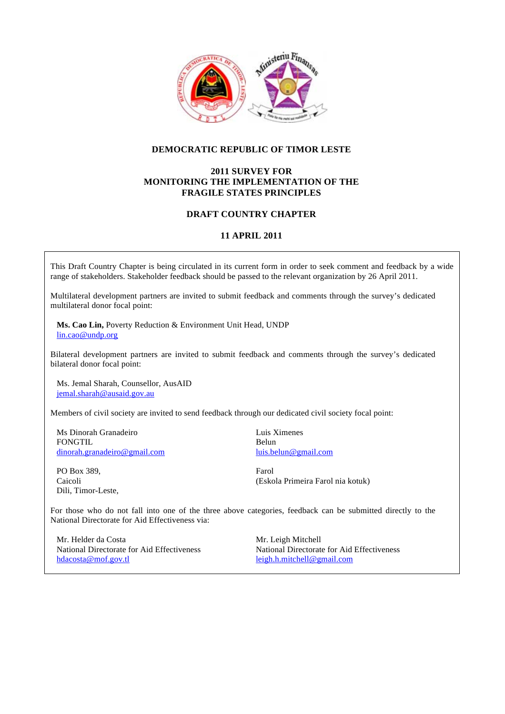

# **DEMOCRATIC REPUBLIC OF TIMOR LESTE**

# **2011 SURVEY FOR MONITORING THE IMPLEMENTATION OF THE FRAGILE STATES PRINCIPLES**

# **DRAFT COUNTRY CHAPTER**

# **11 APRIL 2011**

This Draft Country Chapter is being circulated in its current form in order to seek comment and feedback by a wide range of stakeholders. Stakeholder feedback should be passed to the relevant organization by 26 April 2011.

Multilateral development partners are invited to submit feedback and comments through the survey's dedicated multilateral donor focal point:

**Ms. Cao Lin,** Poverty Reduction & Environment Unit Head, UNDP lin.cao@undp.org

Bilateral development partners are invited to submit feedback and comments through the survey's dedicated bilateral donor focal point:

Ms. Jemal Sharah, Counsellor, AusAID jemal.sharah@ausaid.gov.au

Members of civil society are invited to send feedback through our dedicated civil society focal point:

Ms Dinorah Granadeiro FONGTIL dinorah.granadeiro@gmail.com

PO Box 389, Caicoli Dili, Timor-Leste, Luis Ximenes Belun luis.belun@gmail.com

Farol (Eskola Primeira Farol nia kotuk)

For those who do not fall into one of the three above categories, feedback can be submitted directly to the National Directorate for Aid Effectiveness via:

Mr. Helder da Costa National Directorate for Aid Effectiveness hdacosta@mof.gov.tl

Mr. Leigh Mitchell National Directorate for Aid Effectiveness leigh.h.mitchell@gmail.com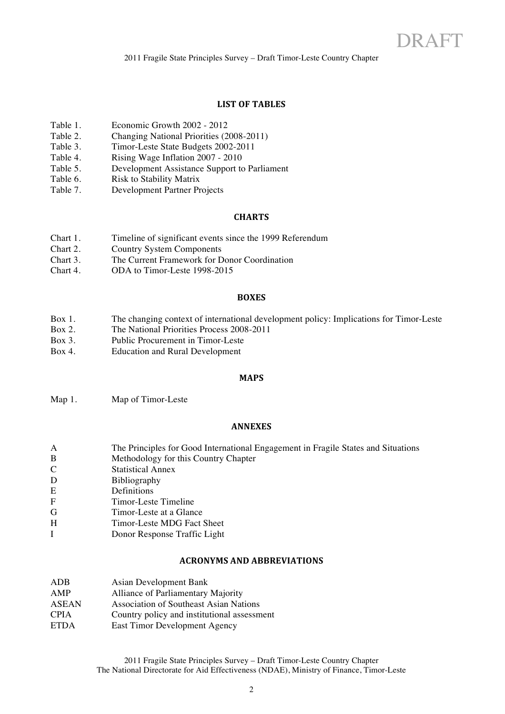# **LIST OF TABLES**

- Table 1. Economic Growth 2002 2012
- Table 2. Changing National Priorities (2008-2011)<br>Table 3. Timor-Leste State Budgets 2002-2011
- Timor-Leste State Budgets 2002-2011
- Table 4. Rising Wage Inflation 2007 2010
- Table 5. Development Assistance Support to Parliament
- Table 6. Risk to Stability Matrix
- Table 7. Development Partner Projects

#### **CHARTS**

- Chart 1. Timeline of significant events since the 1999 Referendum<br>Chart 2 Country System Components
- Country System Components
- Chart 3. The Current Framework for Donor Coordination
- Chart 4. ODA to Timor-Leste 1998-2015

#### **BOXES**

- Box 1. The changing context of international development policy: Implications for Timor-Leste
- Box 2. The National Priorities Process 2008-2011
- Box 3. Public Procurement in Timor-Leste
- Box 4. Education and Rural Development

#### **MAPS!**

Map 1. Map of Timor-Leste

#### **ANNEXES**

- A The Principles for Good International Engagement in Fragile States and Situations B Methodology for this Country Chapter C Statistical Annex D Bibliography E Definitions F Timor-Leste Timeline G Timor-Leste at a Glance
- H Timor-Leste MDG Fact Sheet
- I Donor Response Traffic Light

#### **ACRONYMS!AND!ABBREVIATIONS!**

| ADB          | <b>Asian Development Bank</b>               |
|--------------|---------------------------------------------|
| AMP          | Alliance of Parliamentary Majority          |
| <b>ASEAN</b> | Association of Southeast Asian Nations      |
| <b>CPIA</b>  | Country policy and institutional assessment |
| <b>ETDA</b>  | East Timor Development Agency               |
|              |                                             |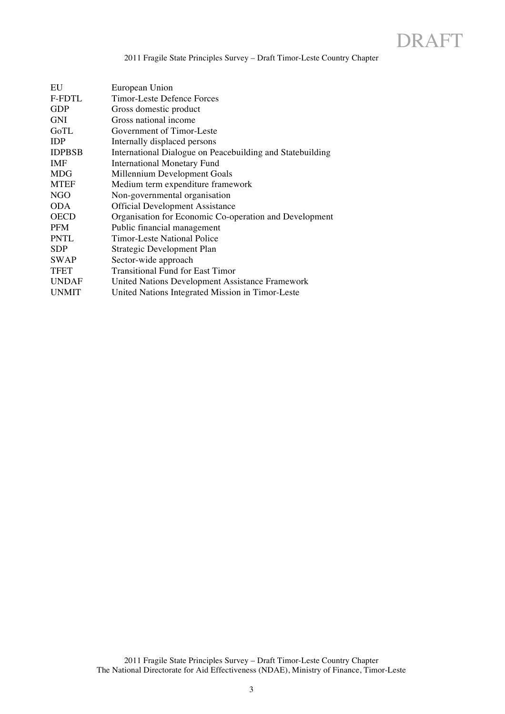2011 Fragile State Principles Survey – Draft Timor-Leste Country Chapter

| EU            | European Union                                            |
|---------------|-----------------------------------------------------------|
| <b>F-FDTL</b> | Timor-Leste Defence Forces                                |
| <b>GDP</b>    | Gross domestic product                                    |
| <b>GNI</b>    | Gross national income                                     |
| GoTL          | Government of Timor-Leste                                 |
| <b>IDP</b>    | Internally displaced persons                              |
| <b>IDPBSB</b> | International Dialogue on Peacebuilding and Statebuilding |
| <b>IMF</b>    | <b>International Monetary Fund</b>                        |
| <b>MDG</b>    | Millennium Development Goals                              |
| <b>MTEF</b>   | Medium term expenditure framework                         |
| <b>NGO</b>    | Non-governmental organisation                             |
| <b>ODA</b>    | <b>Official Development Assistance</b>                    |
| <b>OECD</b>   | Organisation for Economic Co-operation and Development    |
| <b>PFM</b>    | Public financial management                               |
| PNTL          | <b>Timor-Leste National Police</b>                        |
| <b>SDP</b>    | Strategic Development Plan                                |
| <b>SWAP</b>   | Sector-wide approach                                      |
| <b>TFET</b>   | <b>Transitional Fund for East Timor</b>                   |
| <b>UNDAF</b>  | United Nations Development Assistance Framework           |
| <b>UNMIT</b>  | United Nations Integrated Mission in Timor-Leste          |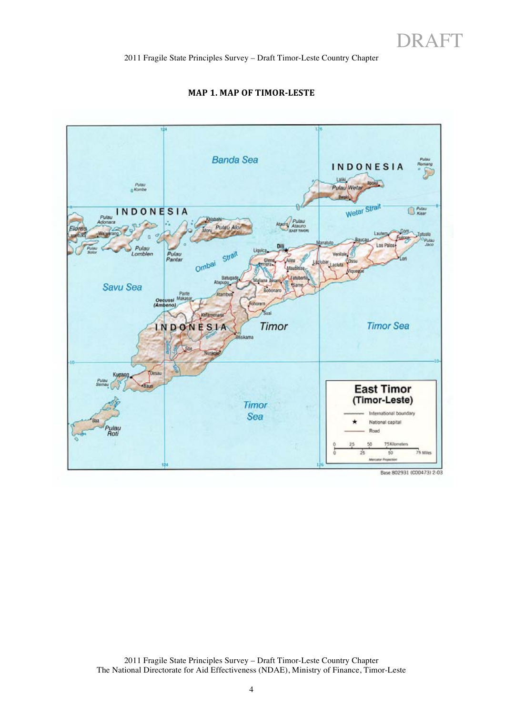

### **MAP 1. MAP OF TIMOR-LESTE**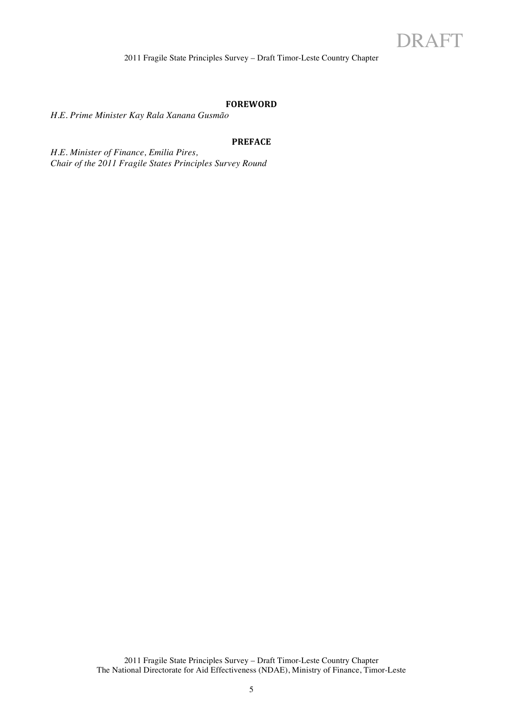#### **FOREWORD**

*H.E. Prime Minister Kay Rala Xanana Gusmão*

### **PREFACE**

*H.E. Minister of Finance, Emilia Pires, Chair of the 2011 Fragile States Principles Survey Round*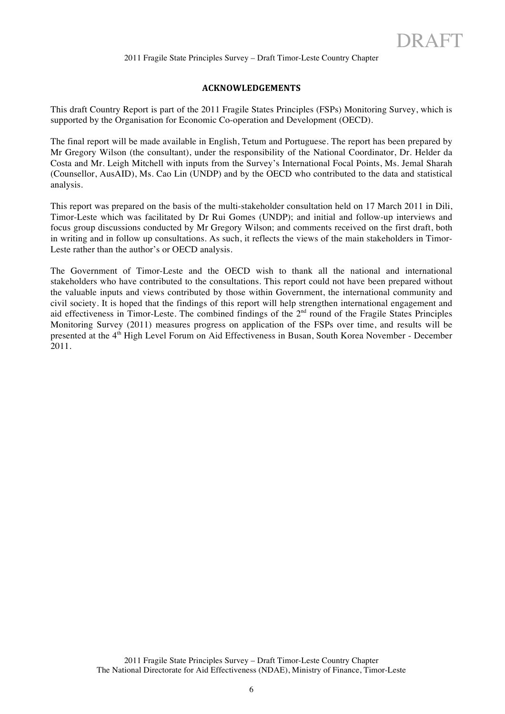# **ACKNOWLEDGEMENTS**

This draft Country Report is part of the 2011 Fragile States Principles (FSPs) Monitoring Survey, which is supported by the Organisation for Economic Co-operation and Development (OECD).

The final report will be made available in English, Tetum and Portuguese. The report has been prepared by Mr Gregory Wilson (the consultant), under the responsibility of the National Coordinator, Dr. Helder da Costa and Mr. Leigh Mitchell with inputs from the Survey's International Focal Points, Ms. Jemal Sharah (Counsellor, AusAID), Ms. Cao Lin (UNDP) and by the OECD who contributed to the data and statistical analysis.

This report was prepared on the basis of the multi-stakeholder consultation held on 17 March 2011 in Dili, Timor-Leste which was facilitated by Dr Rui Gomes (UNDP); and initial and follow-up interviews and focus group discussions conducted by Mr Gregory Wilson; and comments received on the first draft, both in writing and in follow up consultations. As such, it reflects the views of the main stakeholders in Timor-Leste rather than the author's or OECD analysis.

The Government of Timor-Leste and the OECD wish to thank all the national and international stakeholders who have contributed to the consultations. This report could not have been prepared without the valuable inputs and views contributed by those within Government, the international community and civil society. It is hoped that the findings of this report will help strengthen international engagement and aid effectiveness in Timor-Leste. The combined findings of the  $2<sup>nd</sup>$  round of the Fragile States Principles Monitoring Survey (2011) measures progress on application of the FSPs over time, and results will be presented at the 4<sup>th</sup> High Level Forum on Aid Effectiveness in Busan, South Korea November - December 2011.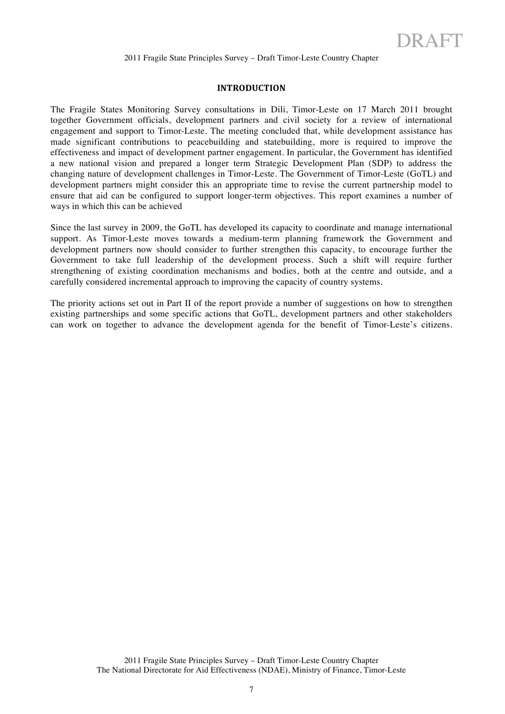#### **INTRODUCTION**

The Fragile States Monitoring Survey consultations in Dili, Timor-Leste on 17 March 2011 brought together Government officials, development partners and civil society for a review of international engagement and support to Timor-Leste. The meeting concluded that, while development assistance has made significant contributions to peacebuilding and statebuilding, more is required to improve the effectiveness and impact of development partner engagement. In particular, the Government has identified a new national vision and prepared a longer term Strategic Development Plan (SDP) to address the changing nature of development challenges in Timor-Leste. The Government of Timor-Leste (GoTL) and development partners might consider this an appropriate time to revise the current partnership model to ensure that aid can be configured to support longer-term objectives. This report examines a number of ways in which this can be achieved

Since the last survey in 2009, the GoTL has developed its capacity to coordinate and manage international support. As Timor-Leste moves towards a medium-term planning framework the Government and development partners now should consider to further strengthen this capacity, to encourage further the Government to take full leadership of the development process. Such a shift will require further strengthening of existing coordination mechanisms and bodies, both at the centre and outside, and a carefully considered incremental approach to improving the capacity of country systems.

The priority actions set out in Part II of the report provide a number of suggestions on how to strengthen existing partnerships and some specific actions that GoTL, development partners and other stakeholders can work on together to advance the development agenda for the benefit of Timor-Leste's citizens.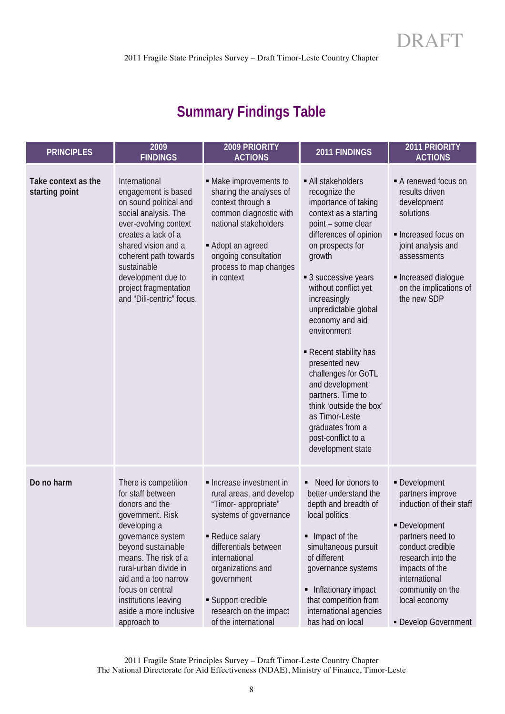# **Summary Findings Table**

| <b>PRINCIPLES</b>                     | 2009<br><b>FINDINGS</b>                                                                                                                                                                                                                                                                                  | 2009 PRIORITY<br><b>ACTIONS</b>                                                                                                                                                                                                                                        | 2011 FINDINGS                                                                                                                                                                                                                                                                                                                                                                                                                                                                                                    | 2011 PRIORITY<br><b>ACTIONS</b>                                                                                                                                                                                                             |
|---------------------------------------|----------------------------------------------------------------------------------------------------------------------------------------------------------------------------------------------------------------------------------------------------------------------------------------------------------|------------------------------------------------------------------------------------------------------------------------------------------------------------------------------------------------------------------------------------------------------------------------|------------------------------------------------------------------------------------------------------------------------------------------------------------------------------------------------------------------------------------------------------------------------------------------------------------------------------------------------------------------------------------------------------------------------------------------------------------------------------------------------------------------|---------------------------------------------------------------------------------------------------------------------------------------------------------------------------------------------------------------------------------------------|
| Take context as the<br>starting point | International<br>engagement is based<br>on sound political and<br>social analysis. The<br>ever-evolving context<br>creates a lack of a<br>shared vision and a<br>coherent path towards<br>sustainable<br>development due to<br>project fragmentation<br>and "Dili-centric" focus.                        | • Make improvements to<br>sharing the analyses of<br>context through a<br>common diagnostic with<br>national stakeholders<br>Adopt an agreed<br>ongoing consultation<br>process to map changes<br>in context                                                           | • All stakeholders<br>recognize the<br>importance of taking<br>context as a starting<br>point - some clear<br>differences of opinion<br>on prospects for<br>growth<br>■ 3 successive years<br>without conflict yet<br>increasingly<br>unpredictable global<br>economy and aid<br>environment<br>Recent stability has<br>presented new<br>challenges for GoTL<br>and development<br>partners. Time to<br>think 'outside the box'<br>as Timor-Leste<br>graduates from a<br>post-conflict to a<br>development state | A renewed focus on<br>results driven<br>development<br>solutions<br>Increased focus on<br>joint analysis and<br>assessments<br>Increased dialogue<br>on the implications of<br>the new SDP                                                  |
| Do no harm                            | There is competition<br>for staff between<br>donors and the<br>government. Risk<br>developing a<br>governance system<br>beyond sustainable<br>means. The risk of a<br>rural-urban divide in<br>aid and a too narrow<br>focus on central<br>institutions leaving<br>aside a more inclusive<br>approach to | Increase investment in<br>rural areas, and develop<br>"Timor-appropriate"<br>systems of governance<br>Reduce salary<br>differentials between<br>international<br>organizations and<br>government<br>Support credible<br>research on the impact<br>of the international | ■ Need for donors to<br>better understand the<br>depth and breadth of<br>local politics<br>• Impact of the<br>simultaneous pursuit<br>of different<br>governance systems<br>• Inflationary impact<br>that competition from<br>international agencies<br>has had on local                                                                                                                                                                                                                                         | - Development<br>partners improve<br>induction of their staff<br>- Development<br>partners need to<br>conduct credible<br>research into the<br>impacts of the<br>international<br>community on the<br>local economy<br>- Develop Government |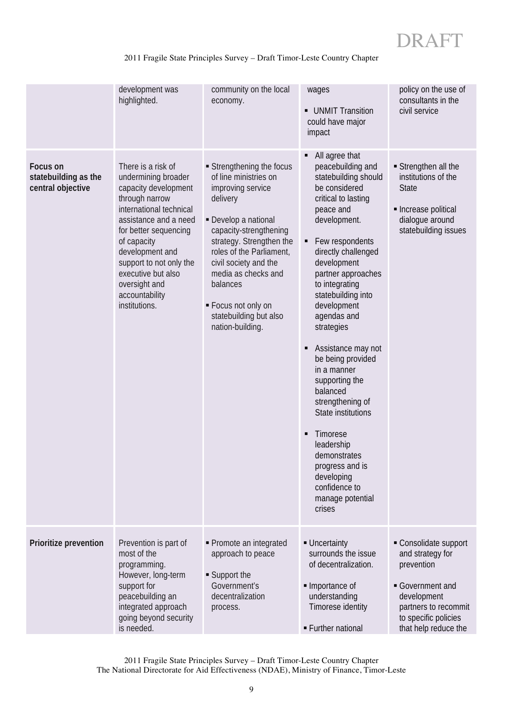# 2011 Fragile State Principles Survey – Draft Timor-Leste Country Chapter

|                                                       | development was<br>highlighted.                                                                                                                                                                                                                                                                         | community on the local<br>economy.                                                                                                                                                                                                                                                                                         | wages<br>• UNMIT Transition<br>could have major<br>impact                                                                                                                                                                                                                                                                                                                                                                                                                                                                                                                           | policy on the use of<br>consultants in the<br>civil service                                                                                                    |
|-------------------------------------------------------|---------------------------------------------------------------------------------------------------------------------------------------------------------------------------------------------------------------------------------------------------------------------------------------------------------|----------------------------------------------------------------------------------------------------------------------------------------------------------------------------------------------------------------------------------------------------------------------------------------------------------------------------|-------------------------------------------------------------------------------------------------------------------------------------------------------------------------------------------------------------------------------------------------------------------------------------------------------------------------------------------------------------------------------------------------------------------------------------------------------------------------------------------------------------------------------------------------------------------------------------|----------------------------------------------------------------------------------------------------------------------------------------------------------------|
| Focus on<br>statebuilding as the<br>central objective | There is a risk of<br>undermining broader<br>capacity development<br>through narrow<br>international technical<br>assistance and a need<br>for better sequencing<br>of capacity<br>development and<br>support to not only the<br>executive but also<br>oversight and<br>accountability<br>institutions. | Strengthening the focus<br>of line ministries on<br>improving service<br>delivery<br>- Develop a national<br>capacity-strengthening<br>strategy. Strengthen the<br>roles of the Parliament,<br>civil society and the<br>media as checks and<br>balances<br>Focus not only on<br>statebuilding but also<br>nation-building. | All agree that<br>п<br>peacebuilding and<br>statebuilding should<br>be considered<br>critical to lasting<br>peace and<br>development.<br>Few respondents<br>٠<br>directly challenged<br>development<br>partner approaches<br>to integrating<br>statebuilding into<br>development<br>agendas and<br>strategies<br>Assistance may not<br>٠<br>be being provided<br>in a manner<br>supporting the<br>balanced<br>strengthening of<br>State institutions<br>Timorese<br>٠<br>leadership<br>demonstrates<br>progress and is<br>developing<br>confidence to<br>manage potential<br>crises | Strengthen all the<br>institutions of the<br><b>State</b><br>• Increase political<br>dialogue around<br>statebuilding issues                                   |
| Prioritize prevention                                 | Prevention is part of<br>most of the<br>programming.<br>However, long-term<br>support for<br>peacebuilding an<br>integrated approach<br>going beyond security<br>is needed.                                                                                                                             | • Promote an integrated<br>approach to peace<br>■ Support the<br>Government's<br>decentralization<br>process.                                                                                                                                                                                                              | - Uncertainty<br>surrounds the issue<br>of decentralization.<br>Importance of<br>understanding<br>Timorese identity<br>• Further national                                                                                                                                                                                                                                                                                                                                                                                                                                           | Consolidate support<br>and strategy for<br>prevention<br>Government and<br>development<br>partners to recommit<br>to specific policies<br>that help reduce the |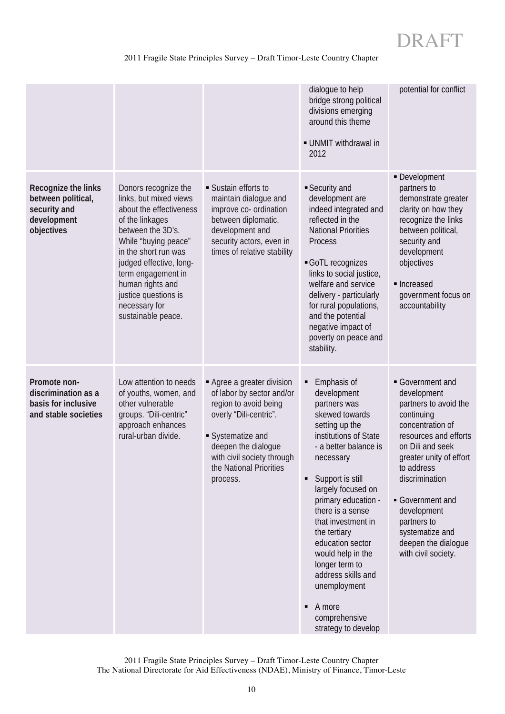# 2011 Fragile State Principles Survey – Draft Timor-Leste Country Chapter

|                                                                                        |                                                                                                                                                                                                                                                                                                       |                                                                                                                                                                                                                         | dialogue to help<br>bridge strong political<br>divisions emerging<br>around this theme<br>· UNMIT withdrawal in<br>2012                                                                                                                                                                                                                                                                                                                    | potential for conflict                                                                                                                                                                                                                                                                                            |
|----------------------------------------------------------------------------------------|-------------------------------------------------------------------------------------------------------------------------------------------------------------------------------------------------------------------------------------------------------------------------------------------------------|-------------------------------------------------------------------------------------------------------------------------------------------------------------------------------------------------------------------------|--------------------------------------------------------------------------------------------------------------------------------------------------------------------------------------------------------------------------------------------------------------------------------------------------------------------------------------------------------------------------------------------------------------------------------------------|-------------------------------------------------------------------------------------------------------------------------------------------------------------------------------------------------------------------------------------------------------------------------------------------------------------------|
| Recognize the links<br>between political,<br>security and<br>development<br>objectives | Donors recognize the<br>links, but mixed views<br>about the effectiveness<br>of the linkages<br>between the 3D's.<br>While "buying peace"<br>in the short run was<br>judged effective, long-<br>term engagement in<br>human rights and<br>justice questions is<br>necessary for<br>sustainable peace. | • Sustain efforts to<br>maintain dialogue and<br>improve co- ordination<br>between diplomatic,<br>development and<br>security actors, even in<br>times of relative stability                                            | Security and<br>development are<br>indeed integrated and<br>reflected in the<br><b>National Priorities</b><br>Process<br>GoTL recognizes<br>links to social justice,<br>welfare and service<br>delivery - particularly<br>for rural populations,<br>and the potential<br>negative impact of<br>poverty on peace and<br>stability.                                                                                                          | - Development<br>partners to<br>demonstrate greater<br>clarity on how they<br>recognize the links<br>between political,<br>security and<br>development<br>objectives<br>• Increased<br>government focus on<br>accountability                                                                                      |
| Promote non-<br>discrimination as a<br>basis for inclusive<br>and stable societies     | Low attention to needs<br>of youths, women, and<br>other vulnerable<br>groups. "Dili-centric"<br>approach enhances<br>rural-urban divide.                                                                                                                                                             | Agree a greater division<br>of labor by sector and/or<br>region to avoid being<br>overly "Dili-centric".<br>Systematize and<br>deepen the dialogue<br>with civil society through<br>the National Priorities<br>process. | Emphasis of<br>٠<br>development<br>partners was<br>skewed towards<br>setting up the<br>institutions of State<br>- a better balance is<br>necessary<br>Support is still<br>٠<br>largely focused on<br>primary education -<br>there is a sense<br>that investment in<br>the tertiary<br>education sector<br>would help in the<br>longer term to<br>address skills and<br>unemployment<br>A more<br>٠<br>comprehensive<br>strategy to develop | Government and<br>development<br>partners to avoid the<br>continuing<br>concentration of<br>resources and efforts<br>on Dili and seek<br>greater unity of effort<br>to address<br>discrimination<br>Government and<br>development<br>partners to<br>systematize and<br>deepen the dialoque<br>with civil society. |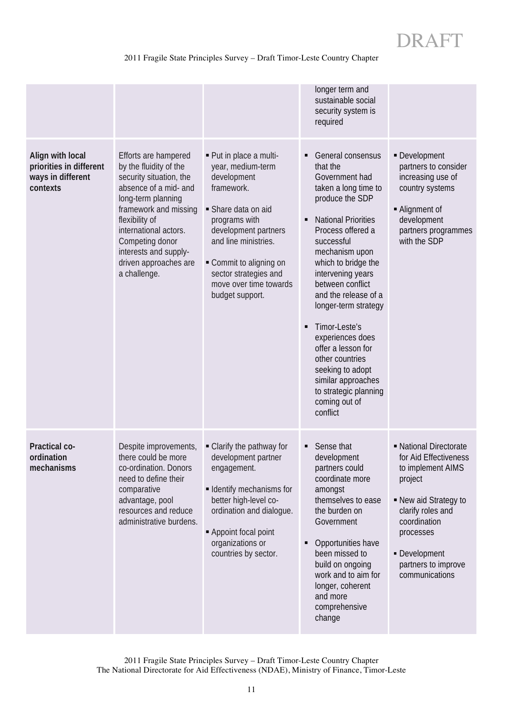# 2011 Fragile State Principles Survey – Draft Timor-Leste Country Chapter

|                                                                              |                                                                                                                                                                                                                                                                                   |                                                                                                                                                                                                                                                                | longer term and<br>sustainable social<br>security system is<br>required                                                                                                                                                                                                                                                                                                                                                                                                                           |                                                                                                                                                                                                                      |
|------------------------------------------------------------------------------|-----------------------------------------------------------------------------------------------------------------------------------------------------------------------------------------------------------------------------------------------------------------------------------|----------------------------------------------------------------------------------------------------------------------------------------------------------------------------------------------------------------------------------------------------------------|---------------------------------------------------------------------------------------------------------------------------------------------------------------------------------------------------------------------------------------------------------------------------------------------------------------------------------------------------------------------------------------------------------------------------------------------------------------------------------------------------|----------------------------------------------------------------------------------------------------------------------------------------------------------------------------------------------------------------------|
| Align with local<br>priorities in different<br>ways in different<br>contexts | Efforts are hampered<br>by the fluidity of the<br>security situation, the<br>absence of a mid- and<br>long-term planning<br>framework and missing<br>flexibility of<br>international actors.<br>Competing donor<br>interests and supply-<br>driven approaches are<br>a challenge. | - Put in place a multi-<br>year, medium-term<br>development<br>framework.<br>Share data on aid<br>programs with<br>development partners<br>and line ministries.<br>Commit to aligning on<br>sector strategies and<br>move over time towards<br>budget support. | <b>General consensus</b><br>٠<br>that the<br>Government had<br>taken a long time to<br>produce the SDP<br><b>National Priorities</b><br>٠<br>Process offered a<br>successful<br>mechanism upon<br>which to bridge the<br>intervening years<br>between conflict<br>and the release of a<br>longer-term strategy<br>Timor-Leste's<br>٠<br>experiences does<br>offer a lesson for<br>other countries<br>seeking to adopt<br>similar approaches<br>to strategic planning<br>coming out of<br>conflict | - Development<br>partners to consider<br>increasing use of<br>country systems<br>- Alignment of<br>development<br>partners programmes<br>with the SDP                                                                |
| Practical co-<br>ordination<br>mechanisms                                    | Despite improvements,<br>there could be more<br>co-ordination. Donors<br>need to define their<br>comparative<br>advantage, pool<br>resources and reduce<br>administrative burdens.                                                                                                | • Clarify the pathway for<br>development partner<br>engagement.<br><b>- Identify mechanisms for</b><br>better high-level co-<br>ordination and dialogue.<br>- Appoint focal point<br>organizations or<br>countries by sector.                                  | Sense that<br>development<br>partners could<br>coordinate more<br>amongst<br>themselves to ease<br>the burden on<br>Government<br>Opportunities have<br>٠<br>been missed to<br>build on ongoing<br>work and to aim for<br>longer, coherent<br>and more<br>comprehensive<br>change                                                                                                                                                                                                                 | - National Directorate<br>for Aid Effectiveness<br>to implement AIMS<br>project<br>- New aid Strategy to<br>clarify roles and<br>coordination<br>processes<br>- Development<br>partners to improve<br>communications |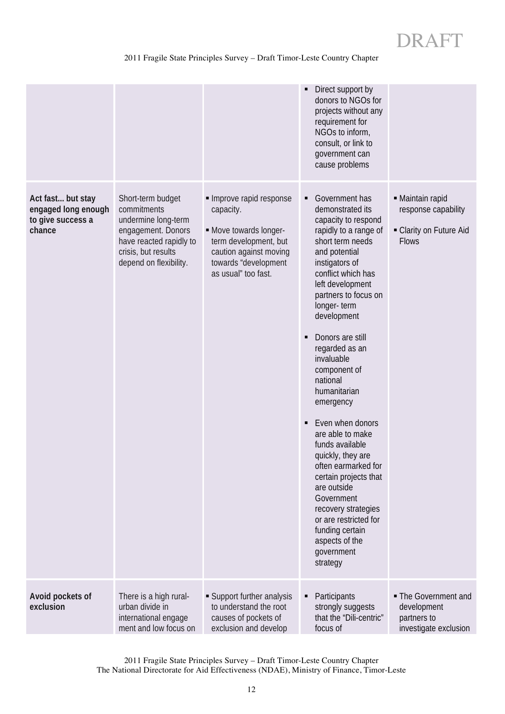# 2011 Fragile State Principles Survey – Draft Timor-Leste Country Chapter

|                                                                         |                                                                                                                                                           |                                                                                                                                                                 | Direct support by<br>$\blacksquare$<br>donors to NGOs for<br>projects without any<br>requirement for<br>NGOs to inform,<br>consult, or link to<br>government can<br>cause problems                                                                                                                                                                                                                                                                                                                                                                                                                                                                |                                                                                    |
|-------------------------------------------------------------------------|-----------------------------------------------------------------------------------------------------------------------------------------------------------|-----------------------------------------------------------------------------------------------------------------------------------------------------------------|---------------------------------------------------------------------------------------------------------------------------------------------------------------------------------------------------------------------------------------------------------------------------------------------------------------------------------------------------------------------------------------------------------------------------------------------------------------------------------------------------------------------------------------------------------------------------------------------------------------------------------------------------|------------------------------------------------------------------------------------|
| Act fast but stay<br>engaged long enough<br>to give success a<br>chance | Short-term budget<br>commitments<br>undermine long-term<br>engagement. Donors<br>have reacted rapidly to<br>crisis, but results<br>depend on flexibility. | Improve rapid response<br>capacity.<br>- Move towards longer-<br>term development, but<br>caution against moving<br>towards "development<br>as usual" too fast. | Government has<br>٠<br>demonstrated its<br>capacity to respond<br>rapidly to a range of<br>short term needs<br>and potential<br>instigators of<br>conflict which has<br>left development<br>partners to focus on<br>longer-term<br>development<br>Donors are still<br>٠<br>regarded as an<br>invaluable<br>component of<br>national<br>humanitarian<br>emergency<br>Even when donors<br>٠<br>are able to make<br>funds available<br>quickly, they are<br>often earmarked for<br>certain projects that<br>are outside<br>Government<br>recovery strategies<br>or are restricted for<br>funding certain<br>aspects of the<br>government<br>strategy | • Maintain rapid<br>response capability<br>- Clarity on Future Aid<br><b>Flows</b> |
| Avoid pockets of<br>exclusion                                           | There is a high rural-<br>urban divide in<br>international engage<br>ment and low focus on                                                                | Support further analysis<br>to understand the root<br>causes of pockets of<br>exclusion and develop                                                             | Participants<br>٠<br>strongly suggests<br>that the "Dili-centric"<br>focus of                                                                                                                                                                                                                                                                                                                                                                                                                                                                                                                                                                     | • The Government and<br>development<br>partners to<br>investigate exclusion        |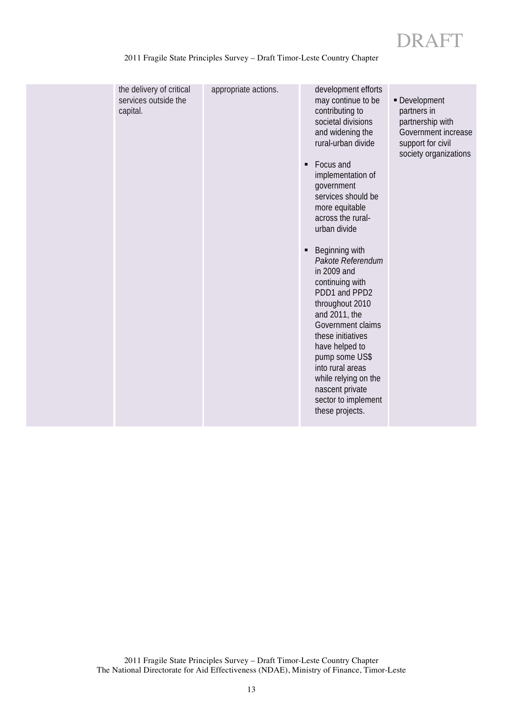|  | the delivery of critical<br>services outside the<br>capital. | appropriate actions. | development efforts<br>may continue to be<br>contributing to<br>societal divisions<br>and widening the<br>rural-urban divide<br>Focus and<br>٠<br>implementation of<br>government<br>services should be<br>more equitable<br>across the rural-<br>urban divide<br>Beginning with<br>٠<br>Pakote Referendum<br>in 2009 and<br>continuing with<br>PDD1 and PPD2<br>throughout 2010<br>and 2011, the<br>Government claims<br>these initiatives<br>have helped to<br>pump some US\$<br>into rural areas<br>while relying on the<br>nascent private<br>sector to implement<br>these projects. | - Development<br>partners in<br>partnership with<br>Government increase<br>support for civil<br>society organizations |
|--|--------------------------------------------------------------|----------------------|------------------------------------------------------------------------------------------------------------------------------------------------------------------------------------------------------------------------------------------------------------------------------------------------------------------------------------------------------------------------------------------------------------------------------------------------------------------------------------------------------------------------------------------------------------------------------------------|-----------------------------------------------------------------------------------------------------------------------|
|--|--------------------------------------------------------------|----------------------|------------------------------------------------------------------------------------------------------------------------------------------------------------------------------------------------------------------------------------------------------------------------------------------------------------------------------------------------------------------------------------------------------------------------------------------------------------------------------------------------------------------------------------------------------------------------------------------|-----------------------------------------------------------------------------------------------------------------------|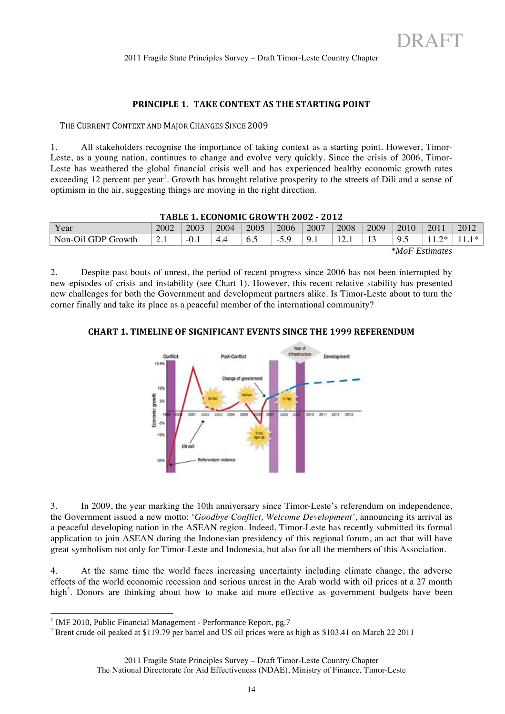# **PRINCIPLE 1. TAKE CONTEXT AS THE STARTING POINT**

THE CURRENT CONTEXT AND MAJOR CHANGES SINCE 2009

1. All stakeholders recognise the importance of taking context as a starting point. However, Timor-Leste, as a young nation, continues to change and evolve very quickly. Since the crisis of 2006, Timor-Leste has weathered the global financial crisis well and has experienced healthy economic growth rates exceeding 12 percent per year<sup>1</sup>. Growth has brought relative prosperity to the streets of Dili and a sense of optimism in the air, suggesting things are moving in the right direction.

| TABLE 1. ECONOMIC GROW TH 2002 - 2012 |      |      |      |      |      |          |         |      |                 |      |           |
|---------------------------------------|------|------|------|------|------|----------|---------|------|-----------------|------|-----------|
| Year                                  | 2002 | 2003 | 2004 | 2005 | 2006 | 2007     | 2008    | 2009 | 2010            | 2011 | 2012      |
| Non-Oil GDP Growth                    | 2.I  |      | 4.4  | 6.1  | $-$  | $\Omega$ | 12<br>. |      | $\Omega$<br>ن ر | つ*   | - 1 米 - 1 |
| <i>*MoF Estimates</i>                 |      |      |      |      |      |          |         |      |                 |      |           |

**TABLE!1.!ECONOMIC!GROWTH!2002!7!2012**

2. Despite past bouts of unrest, the period of recent progress since 2006 has not been interrupted by new episodes of crisis and instability (see Chart 1). However, this recent relative stability has presented new challenges for both the Government and development partners alike. Is Timor-Leste about to turn the corner finally and take its place as a peaceful member of the international community?

#### **CHART 1. TIMELINE OF SIGNIFICANT EVENTS SINCE THE 1999 REFERENDUM**



3. In 2009, the year marking the 10th anniversary since Timor-Leste's referendum on independence, the Government issued a new motto: '*Goodbye Conflict, Welcome Development'*, announcing its arrival as a peaceful developing nation in the ASEAN region. Indeed, Timor-Leste has recently submitted its formal application to join ASEAN during the Indonesian presidency of this regional forum, an act that will have great symbolism not only for Timor-Leste and Indonesia, but also for all the members of this Association.

4. At the same time the world faces increasing uncertainty including climate change, the adverse effects of the world economic recession and serious unrest in the Arab world with oil prices at a 27 month high<sup>2</sup>. Donors are thinking about how to make aid more effective as government budgets have been

<sup>|&</sup>lt;br>|<br>| <sup>1</sup> IMF 2010, Public Financial Management - Performance Report, pg.7

<sup>&</sup>lt;sup>2</sup> Brent crude oil peaked at \$119.79 per barrel and US oil prices were as high as \$103.41 on March 22 2011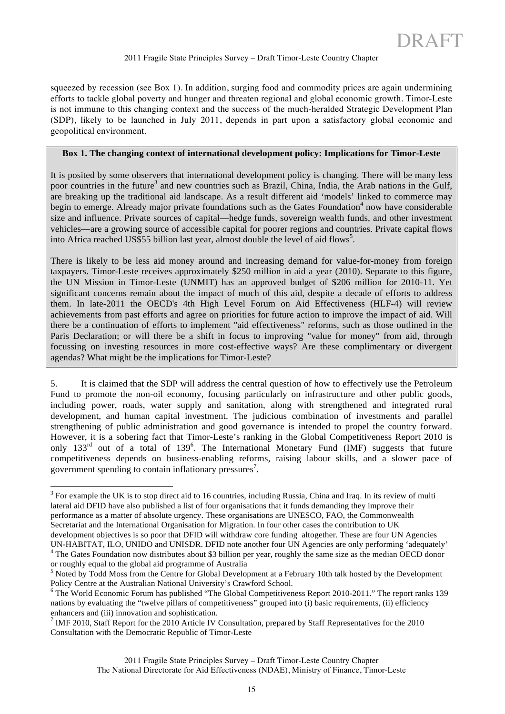squeezed by recession (see Box 1). In addition, surging food and commodity prices are again undermining efforts to tackle global poverty and hunger and threaten regional and global economic growth. Timor-Leste is not immune to this changing context and the success of the much-heralded Strategic Development Plan (SDP), likely to be launched in July 2011, depends in part upon a satisfactory global economic and geopolitical environment.

# **Box 1. The changing context of international development policy: Implications for Timor-Leste**

It is posited by some observers that international development policy is changing. There will be many less poor countries in the future<sup>3</sup> and new countries such as Brazil, China, India, the Arab nations in the Gulf, are breaking up the traditional aid landscape. As a result different aid 'models' linked to commerce may begin to emerge. Already major private foundations such as the Gates Foundation<sup>4</sup> now have considerable size and influence. Private sources of capital—hedge funds, sovereign wealth funds, and other investment vehicles—are a growing source of accessible capital for poorer regions and countries. Private capital flows into Africa reached US\$55 billion last year, almost double the level of aid flows<sup>5</sup>.

There is likely to be less aid money around and increasing demand for value-for-money from foreign taxpayers. Timor-Leste receives approximately \$250 million in aid a year (2010). Separate to this figure, the UN Mission in Timor-Leste (UNMIT) has an approved budget of \$206 million for 2010-11. Yet significant concerns remain about the impact of much of this aid, despite a decade of efforts to address them. In late-2011 the OECD's 4th High Level Forum on Aid Effectiveness (HLF-4) will review achievements from past efforts and agree on priorities for future action to improve the impact of aid. Will there be a continuation of efforts to implement "aid effectiveness" reforms, such as those outlined in the Paris Declaration; or will there be a shift in focus to improving "value for money" from aid, through focussing on investing resources in more cost-effective ways? Are these complimentary or divergent agendas? What might be the implications for Timor-Leste?

5. It is claimed that the SDP will address the central question of how to effectively use the Petroleum Fund to promote the non-oil economy, focusing particularly on infrastructure and other public goods, including power, roads, water supply and sanitation, along with strengthened and integrated rural development, and human capital investment. The judicious combination of investments and parallel strengthening of public administration and good governance is intended to propel the country forward. However, it is a sobering fact that Timor-Leste's ranking in the Global Competitiveness Report 2010 is only 133<sup>rd</sup> out of a total of 139<sup>6</sup>. The International Monetary Fund (IMF) suggests that future competitiveness depends on business-enabling reforms, raising labour skills, and a slower pace of government spending to contain inflationary pressures<sup>7</sup>.

3  $3$  For example the UK is to stop direct aid to 16 countries, including Russia, China and Iraq. In its review of multi lateral aid DFID have also published a list of four organisations that it funds demanding they improve their performance as a matter of absolute urgency. These organisations are UNESCO, FAO, the Commonwealth Secretariat and the International Organisation for Migration. In four other cases the contribution to UK development objectives is so poor that DFID will withdraw core funding altogether. These are four UN Agencies

UN-HABITAT, ILO, UNIDO and UNISDR. DFID note another four UN Agencies are only performing 'adequately' 4 <sup>4</sup> The Gates Foundation now distributes about \$3 billion per year, roughly the same size as the median OECD donor or roughly equal to the global aid programme of Australia <sup>5</sup>

 $<sup>5</sup>$  Noted by Todd Moss from the Centre for Global Development at a February 10th talk hosted by the Development</sup> Policy Centre at the Australian National University's Crawford School.

<sup>&</sup>lt;sup>6</sup> The World Economic Forum has published "The Global Competitiveness Report 2010-2011." The report ranks 139 nations by evaluating the "twelve pillars of competitiveness" grouped into (i) basic requirements, (ii) efficiency enhancers and (iii) innovation and sophistication.

 $7$  IMF 2010, Staff Report for the 2010 Article IV Consultation, prepared by Staff Representatives for the 2010 Consultation with the Democratic Republic of Timor-Leste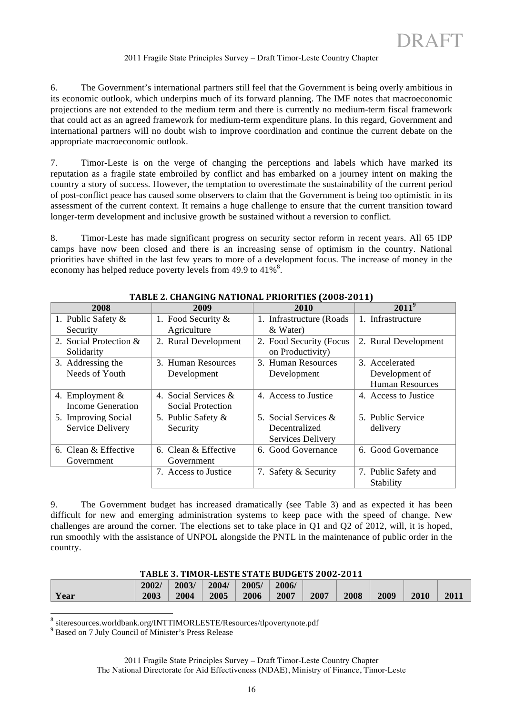6. The Government's international partners still feel that the Government is being overly ambitious in its economic outlook, which underpins much of its forward planning. The IMF notes that macroeconomic projections are not extended to the medium term and there is currently no medium-term fiscal framework that could act as an agreed framework for medium-term expenditure plans. In this regard, Government and international partners will no doubt wish to improve coordination and continue the current debate on the appropriate macroeconomic outlook.

7. Timor-Leste is on the verge of changing the perceptions and labels which have marked its reputation as a fragile state embroiled by conflict and has embarked on a journey intent on making the country a story of success. However, the temptation to overestimate the sustainability of the current period of post-conflict peace has caused some observers to claim that the Government is being too optimistic in its assessment of the current context. It remains a huge challenge to ensure that the current transition toward longer-term development and inclusive growth be sustained without a reversion to conflict.

8. Timor-Leste has made significant progress on security sector reform in recent years. All 65 IDP camps have now been closed and there is an increasing sense of optimism in the country. National priorities have shifted in the last few years to more of a development focus. The increase of money in the economy has helped reduce poverty levels from 49.9 to  $41\%$ <sup>8</sup>.

| 2008                   | 2009                  | 171000 2. Chintonita Rittlerind I Richting (2000 2011)<br>2010 | $2011^9$               |
|------------------------|-----------------------|----------------------------------------------------------------|------------------------|
|                        |                       |                                                                |                        |
| 1. Public Safety &     | 1. Food Security $\&$ | 1. Infrastructure (Roads)                                      | 1. Infrastructure      |
| Security               | Agriculture           | & Water)                                                       |                        |
| 2. Social Protection & | 2. Rural Development  | 2. Food Security (Focus                                        | 2. Rural Development   |
| Solidarity             |                       | on Productivity)                                               |                        |
| 3. Addressing the      | 3. Human Resources    | 3. Human Resources                                             | 3. Accelerated         |
| Needs of Youth         | Development           | Development                                                    | Development of         |
|                        |                       |                                                                | <b>Human Resources</b> |
| 4. Employment $\&$     | 4. Social Services &  | 4. Access to Justice                                           | 4. Access to Justice   |
| Income Generation      | Social Protection     |                                                                |                        |
| 5. Improving Social    | 5. Public Safety &    | 5. Social Services &                                           | 5. Public Service      |
| Service Delivery       | Security              | Decentralized                                                  | delivery               |
|                        |                       | <b>Services Delivery</b>                                       |                        |
| 6. Clean & Effective   | 6. Clean & Effective  | 6. Good Governance                                             | 6. Good Governance     |
| Government             | Government            |                                                                |                        |
|                        | 7. Access to Justice  | 7. Safety & Security                                           | 7. Public Safety and   |
|                        |                       |                                                                | Stability              |

**TABLE 2. CHANGING NATIONAL PRIORITIES (2008-2011)** 

9. The Government budget has increased dramatically (see Table 3) and as expected it has been difficult for new and emerging administration systems to keep pace with the speed of change. New challenges are around the corner. The elections set to take place in Q1 and Q2 of 2012, will, it is hoped, run smoothly with the assistance of UNPOL alongside the PNTL in the maintenance of public order in the country.

#### TABLE 3. TIMOR-LESTE STATE BUDGETS 2002-2011

|      | 2002/ | 2003/ | 2004/ | 2005/ | 2006/ |      |      |      |      |      |
|------|-------|-------|-------|-------|-------|------|------|------|------|------|
| Year | 2003  | 2004  | 2005  | 2006  | 2007  | 2007 | 2008 | 2009 | 2010 | 2011 |

<sup>8</sup> siteresources.worldbank.org/INTTIMORLESTE/Resources/tlpovertynote.pdf

<sup>9</sup> Based on 7 July Council of Minister's Press Release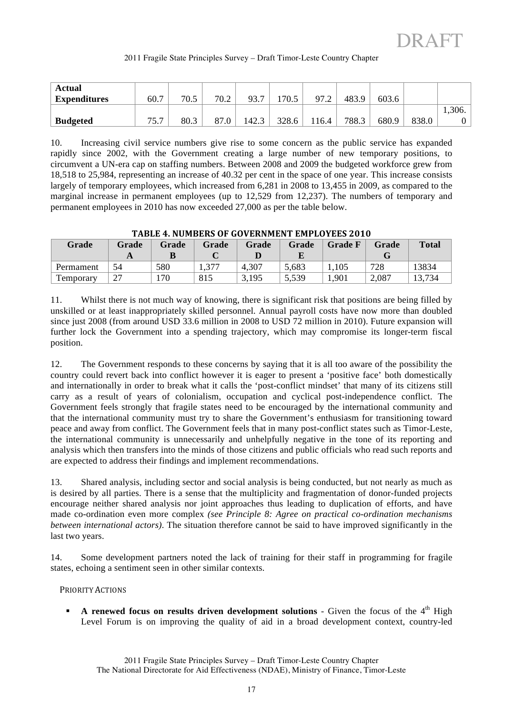| 2011 Fragile State Principles Survey - Draft Timor-Leste Country Chapter |  |  |  |  |
|--------------------------------------------------------------------------|--|--|--|--|
|                                                                          |  |  |  |  |

| Actual              |      |      |                |       |       |       |       |       |       |        |
|---------------------|------|------|----------------|-------|-------|-------|-------|-------|-------|--------|
| <b>Expenditures</b> | 60.7 | 70.5 | 70.2           | 93.7  | 170.5 | 972   | 483.9 | 603.6 |       |        |
|                     |      |      |                |       |       |       |       |       |       | 1,306. |
| <b>Budgeted</b>     | 75.7 | 80.3 | O <sub>7</sub> | 142.3 | 328.6 | 116.4 | 788.3 | 680.9 | 838.0 |        |

10. Increasing civil service numbers give rise to some concern as the public service has expanded rapidly since 2002, with the Government creating a large number of new temporary positions, to circumvent a UN-era cap on staffing numbers. Between 2008 and 2009 the budgeted workforce grew from 18,518 to 25,984, representing an increase of 40.32 per cent in the space of one year. This increase consists largely of temporary employees, which increased from 6,281 in 2008 to 13,455 in 2009, as compared to the marginal increase in permanent employees (up to 12,529 from 12,237). The numbers of temporary and permanent employees in 2010 has now exceeded 27,000 as per the table below.

|           |       |       |       | IADLE T. NOMDERJ OF GOVERNMENT EMI LOTELJ ZVIV |       |                |       |              |
|-----------|-------|-------|-------|------------------------------------------------|-------|----------------|-------|--------------|
| Grade     | Grade | Grade | Grade | Grade                                          | Grade | <b>Grade F</b> | Grade | <b>Total</b> |
|           |       |       |       |                                                |       |                |       |              |
| Permament | 54    | 580   |       | 4,307                                          | 5,683 | 1,105          | 728   | 13834        |
| Temporary |       | .70   | 815   | 3,195                                          | 5,539 | 1,901          | 2,087 | 13,734       |

**TABLE!4.!NUMBERS!OF!GOVERNMENT!EMPLOYEES!2010**

11. Whilst there is not much way of knowing, there is significant risk that positions are being filled by unskilled or at least inappropriately skilled personnel. Annual payroll costs have now more than doubled since just 2008 (from around USD 33.6 million in 2008 to USD 72 million in 2010). Future expansion will further lock the Government into a spending trajectory, which may compromise its longer-term fiscal position.

12. The Government responds to these concerns by saying that it is all too aware of the possibility the country could revert back into conflict however it is eager to present a 'positive face' both domestically and internationally in order to break what it calls the 'post-conflict mindset' that many of its citizens still carry as a result of years of colonialism, occupation and cyclical post-independence conflict. The Government feels strongly that fragile states need to be encouraged by the international community and that the international community must try to share the Government's enthusiasm for transitioning toward peace and away from conflict. The Government feels that in many post-conflict states such as Timor-Leste, the international community is unnecessarily and unhelpfully negative in the tone of its reporting and analysis which then transfers into the minds of those citizens and public officials who read such reports and are expected to address their findings and implement recommendations.

13. Shared analysis, including sector and social analysis is being conducted, but not nearly as much as is desired by all parties. There is a sense that the multiplicity and fragmentation of donor-funded projects encourage neither shared analysis nor joint approaches thus leading to duplication of efforts, and have made co-ordination even more complex *(see Principle 8: Agree on practical co-ordination mechanisms between international actors)*. The situation therefore cannot be said to have improved significantly in the last two years.

14. Some development partners noted the lack of training for their staff in programming for fragile states, echoing a sentiment seen in other similar contexts.

PRIORITY ACTIONS

**A renewed focus on results driven development solutions** - Given the focus of the  $4<sup>th</sup>$  High Level Forum is on improving the quality of aid in a broad development context, country-led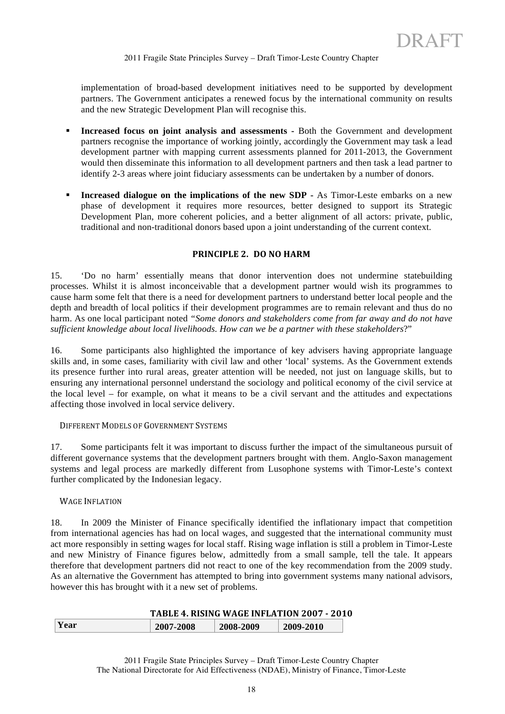implementation of broad-based development initiatives need to be supported by development partners. The Government anticipates a renewed focus by the international community on results and the new Strategic Development Plan will recognise this.

- **Increased focus on joint analysis and assessments -** Both the Government and development partners recognise the importance of working jointly, accordingly the Government may task a lead development partner with mapping current assessments planned for 2011-2013, the Government would then disseminate this information to all development partners and then task a lead partner to identify 2-3 areas where joint fiduciary assessments can be undertaken by a number of donors.
- **Increased dialogue on the implications of the new SDP -** As Timor-Leste embarks on a new phase of development it requires more resources, better designed to support its Strategic Development Plan, more coherent policies, and a better alignment of all actors: private, public, traditional and non-traditional donors based upon a joint understanding of the current context.

# **PRINCIPLE 2. DO NO HARM**

15. 'Do no harm' essentially means that donor intervention does not undermine statebuilding processes. Whilst it is almost inconceivable that a development partner would wish its programmes to cause harm some felt that there is a need for development partners to understand better local people and the depth and breadth of local politics if their development programmes are to remain relevant and thus do no harm. As one local participant noted *"Some donors and stakeholders come from far away and do not have sufficient knowledge about local livelihoods. How can we be a partner with these stakeholders*?"

16. Some participants also highlighted the importance of key advisers having appropriate language skills and, in some cases, familiarity with civil law and other 'local' systems. As the Government extends its presence further into rural areas, greater attention will be needed, not just on language skills, but to ensuring any international personnel understand the sociology and political economy of the civil service at the local level – for example, on what it means to be a civil servant and the attitudes and expectations affecting those involved in local service delivery.

#### DIFFERENT MODELS OF GOVERNMENT SYSTEMS

17. Some participants felt it was important to discuss further the impact of the simultaneous pursuit of different governance systems that the development partners brought with them. Anglo-Saxon management systems and legal process are markedly different from Lusophone systems with Timor-Leste's context further complicated by the Indonesian legacy.

#### WAGE INFLATION

18. In 2009 the Minister of Finance specifically identified the inflationary impact that competition from international agencies has had on local wages, and suggested that the international community must act more responsibly in setting wages for local staff. Rising wage inflation is still a problem in Timor-Leste and new Ministry of Finance figures below, admittedly from a small sample, tell the tale. It appears therefore that development partners did not react to one of the key recommendation from the 2009 study. As an alternative the Government has attempted to bring into government systems many national advisors, however this has brought with it a new set of problems.

|      | <b>TABLE 4. RISING WAGE INFLATION 2007 - 2010</b> |           |           |  |
|------|---------------------------------------------------|-----------|-----------|--|
| Year | 2007-2008                                         | 2008-2009 | 2009-2010 |  |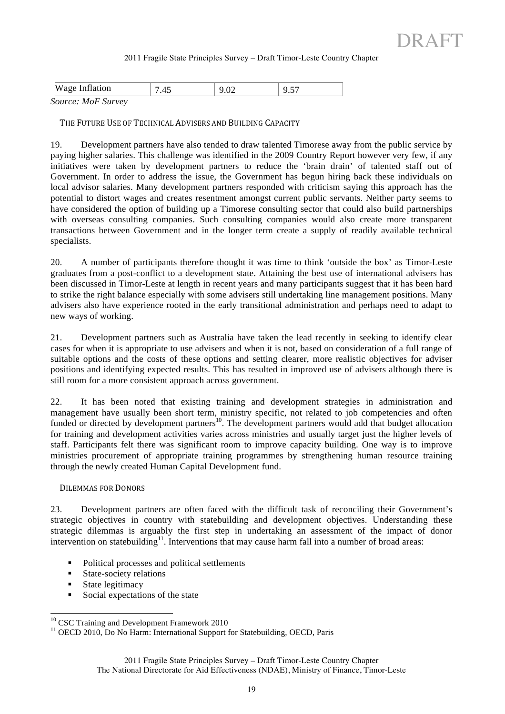| <b>Wage Inflation</b>     |  | ີ<br>$\overline{\phantom{a}}$ |
|---------------------------|--|-------------------------------|
| <i>Source: MoF Survey</i> |  |                               |

THE FUTURE USE OF TECHNICAL ADVISERS AND BUILDING CAPACITY

19. Development partners have also tended to draw talented Timorese away from the public service by paying higher salaries. This challenge was identified in the 2009 Country Report however very few, if any initiatives were taken by development partners to reduce the 'brain drain' of talented staff out of Government. In order to address the issue, the Government has begun hiring back these individuals on local advisor salaries. Many development partners responded with criticism saying this approach has the potential to distort wages and creates resentment amongst current public servants. Neither party seems to have considered the option of building up a Timorese consulting sector that could also build partnerships with overseas consulting companies. Such consulting companies would also create more transparent transactions between Government and in the longer term create a supply of readily available technical specialists.

20. A number of participants therefore thought it was time to think 'outside the box' as Timor-Leste graduates from a post-conflict to a development state. Attaining the best use of international advisers has been discussed in Timor-Leste at length in recent years and many participants suggest that it has been hard to strike the right balance especially with some advisers still undertaking line management positions. Many advisers also have experience rooted in the early transitional administration and perhaps need to adapt to new ways of working.

21. Development partners such as Australia have taken the lead recently in seeking to identify clear cases for when it is appropriate to use advisers and when it is not, based on consideration of a full range of suitable options and the costs of these options and setting clearer, more realistic objectives for adviser positions and identifying expected results. This has resulted in improved use of advisers although there is still room for a more consistent approach across government.

22. It has been noted that existing training and development strategies in administration and management have usually been short term, ministry specific, not related to job competencies and often funded or directed by development partners<sup>10</sup>. The development partners would add that budget allocation for training and development activities varies across ministries and usually target just the higher levels of staff. Participants felt there was significant room to improve capacity building. One way is to improve ministries procurement of appropriate training programmes by strengthening human resource training through the newly created Human Capital Development fund.

#### DILEMMAS FOR DONORS

23. Development partners are often faced with the difficult task of reconciling their Government's strategic objectives in country with statebuilding and development objectives. Understanding these strategic dilemmas is arguably the first step in undertaking an assessment of the impact of donor intervention on statebuilding<sup>11</sup>. Interventions that may cause harm fall into a number of broad areas:

- Political processes and political settlements
- State-society relations
- State legitimacy
- Social expectations of the state

<sup>&</sup>lt;sup>10</sup> CSC Training and Development Framework 2010

<sup>&</sup>lt;sup>11</sup> OECD 2010, Do No Harm: International Support for Statebuilding, OECD, Paris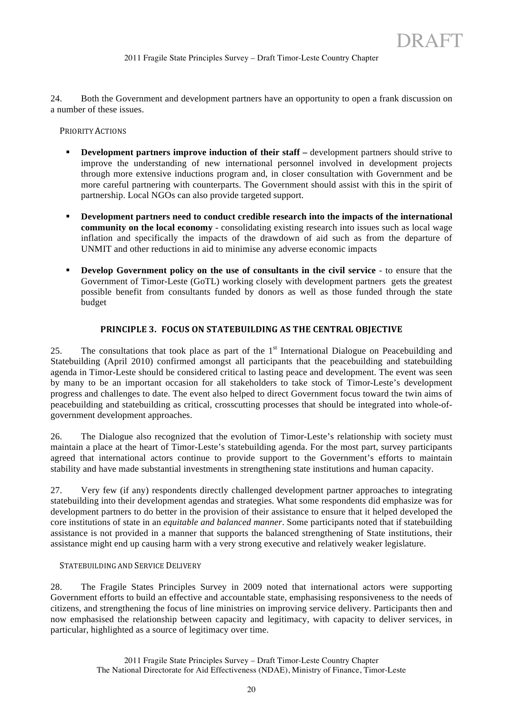24. Both the Government and development partners have an opportunity to open a frank discussion on a number of these issues.

PRIORITY ACTIONS

- **Development partners improve induction of their staff –** development partners should strive to improve the understanding of new international personnel involved in development projects through more extensive inductions program and, in closer consultation with Government and be more careful partnering with counterparts. The Government should assist with this in the spirit of partnership. Local NGOs can also provide targeted support.
- **Development partners need to conduct credible research into the impacts of the international community on the local economy** - consolidating existing research into issues such as local wage inflation and specifically the impacts of the drawdown of aid such as from the departure of UNMIT and other reductions in aid to minimise any adverse economic impacts
- **Develop Government policy on the use of consultants in the civil service** to ensure that the Government of Timor-Leste (GoTL) working closely with development partners gets the greatest possible benefit from consultants funded by donors as well as those funded through the state budget

# **PRINCIPLE 3. FOCUS ON STATEBUILDING AS THE CENTRAL OBJECTIVE**

25. The consultations that took place as part of the  $1<sup>st</sup>$  International Dialogue on Peacebuilding and Statebuilding (April 2010) confirmed amongst all participants that the peacebuilding and statebuilding agenda in Timor-Leste should be considered critical to lasting peace and development. The event was seen by many to be an important occasion for all stakeholders to take stock of Timor-Leste's development progress and challenges to date. The event also helped to direct Government focus toward the twin aims of peacebuilding and statebuilding as critical, crosscutting processes that should be integrated into whole-ofgovernment development approaches.

26. The Dialogue also recognized that the evolution of Timor-Leste's relationship with society must maintain a place at the heart of Timor-Leste's statebuilding agenda. For the most part, survey participants agreed that international actors continue to provide support to the Government's efforts to maintain stability and have made substantial investments in strengthening state institutions and human capacity.

27. Very few (if any) respondents directly challenged development partner approaches to integrating statebuilding into their development agendas and strategies. What some respondents did emphasize was for development partners to do better in the provision of their assistance to ensure that it helped developed the core institutions of state in an *equitable and balanced manner*. Some participants noted that if statebuilding assistance is not provided in a manner that supports the balanced strengthening of State institutions, their assistance might end up causing harm with a very strong executive and relatively weaker legislature.

#### STATEBUILDING AND SERVICE DELIVERY

28. The Fragile States Principles Survey in 2009 noted that international actors were supporting Government efforts to build an effective and accountable state, emphasising responsiveness to the needs of citizens, and strengthening the focus of line ministries on improving service delivery. Participants then and now emphasised the relationship between capacity and legitimacy, with capacity to deliver services, in particular, highlighted as a source of legitimacy over time.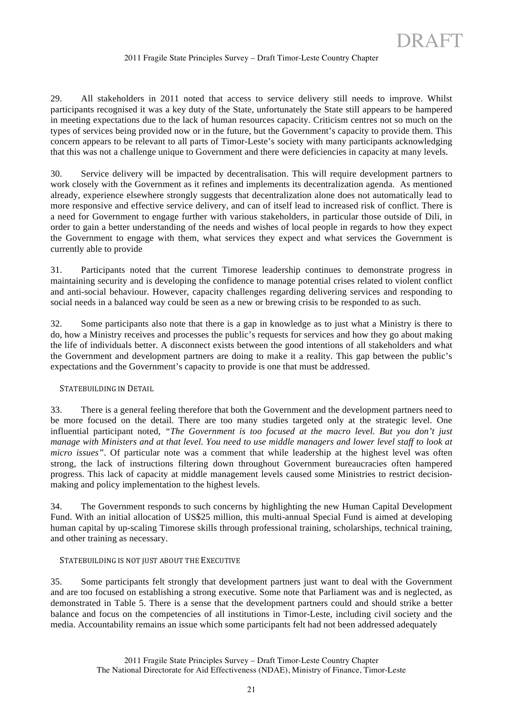29. All stakeholders in 2011 noted that access to service delivery still needs to improve. Whilst participants recognised it was a key duty of the State, unfortunately the State still appears to be hampered in meeting expectations due to the lack of human resources capacity. Criticism centres not so much on the types of services being provided now or in the future, but the Government's capacity to provide them. This concern appears to be relevant to all parts of Timor-Leste's society with many participants acknowledging that this was not a challenge unique to Government and there were deficiencies in capacity at many levels.

30. Service delivery will be impacted by decentralisation. This will require development partners to work closely with the Government as it refines and implements its decentralization agenda. As mentioned already, experience elsewhere strongly suggests that decentralization alone does not automatically lead to more responsive and effective service delivery, and can of itself lead to increased risk of conflict. There is a need for Government to engage further with various stakeholders, in particular those outside of Dili, in order to gain a better understanding of the needs and wishes of local people in regards to how they expect the Government to engage with them, what services they expect and what services the Government is currently able to provide

31. Participants noted that the current Timorese leadership continues to demonstrate progress in maintaining security and is developing the confidence to manage potential crises related to violent conflict and anti-social behaviour. However, capacity challenges regarding delivering services and responding to social needs in a balanced way could be seen as a new or brewing crisis to be responded to as such.

32. Some participants also note that there is a gap in knowledge as to just what a Ministry is there to do, how a Ministry receives and processes the public's requests for services and how they go about making the life of individuals better. A disconnect exists between the good intentions of all stakeholders and what the Government and development partners are doing to make it a reality. This gap between the public's expectations and the Government's capacity to provide is one that must be addressed.

#### STATEBUILDING IN DETAIL

33. There is a general feeling therefore that both the Government and the development partners need to be more focused on the detail. There are too many studies targeted only at the strategic level. One influential participant noted, *"The Government is too focused at the macro level. But you don't just manage with Ministers and at that level. You need to use middle managers and lower level staff to look at micro issues"*. Of particular note was a comment that while leadership at the highest level was often strong, the lack of instructions filtering down throughout Government bureaucracies often hampered progress. This lack of capacity at middle management levels caused some Ministries to restrict decisionmaking and policy implementation to the highest levels.

34. The Government responds to such concerns by highlighting the new Human Capital Development Fund. With an initial allocation of US\$25 million, this multi-annual Special Fund is aimed at developing human capital by up-scaling Timorese skills through professional training, scholarships, technical training, and other training as necessary.

#### STATEBUILDING IS NOT JUST ABOUT THE EXECUTIVE

35. Some participants felt strongly that development partners just want to deal with the Government and are too focused on establishing a strong executive. Some note that Parliament was and is neglected, as demonstrated in Table 5. There is a sense that the development partners could and should strike a better balance and focus on the competencies of all institutions in Timor-Leste, including civil society and the media. Accountability remains an issue which some participants felt had not been addressed adequately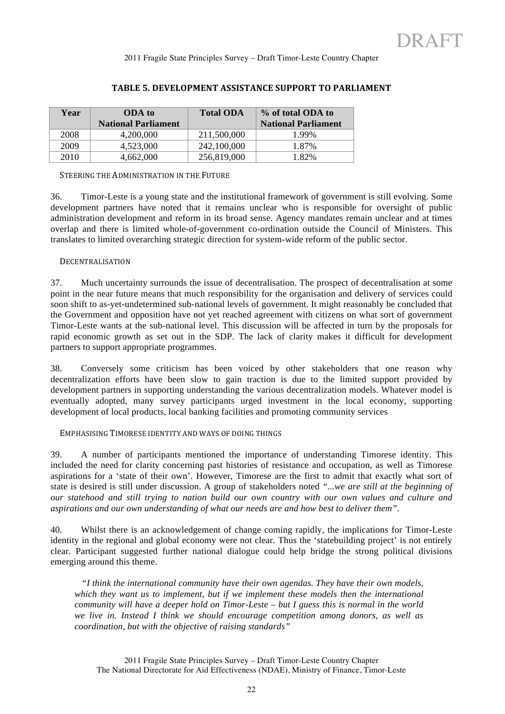| Year | ODA to                     | <b>Total ODA</b> | % of total ODA to          |
|------|----------------------------|------------------|----------------------------|
|      | <b>National Parliament</b> |                  | <b>National Parliament</b> |
| 2008 | 4.200.000                  | 211,500,000      | 1.99%                      |
| 2009 | 4,523,000                  | 242,100,000      | 1.87%                      |
| 2010 | 4,662,000                  | 256,819,000      | 1.82%                      |

# TABLE 5. DEVELOPMENT ASSISTANCE SUPPORT TO PARLIAMENT

### STEERING THE ADMINISTRATION IN THE FUTURE

36. Timor-Leste is a young state and the institutional framework of government is still evolving. Some development partners have noted that it remains unclear who is responsible for oversight of public administration development and reform in its broad sense. Agency mandates remain unclear and at times overlap and there is limited whole-of-government co-ordination outside the Council of Ministers. This translates to limited overarching strategic direction for system-wide reform of the public sector.

#### DECENTRALISATION

37. Much uncertainty surrounds the issue of decentralisation. The prospect of decentralisation at some point in the near future means that much responsibility for the organisation and delivery of services could soon shift to as-yet-undetermined sub-national levels of government. It might reasonably be concluded that the Government and opposition have not yet reached agreement with citizens on what sort of government Timor-Leste wants at the sub-national level. This discussion will be affected in turn by the proposals for rapid economic growth as set out in the SDP. The lack of clarity makes it difficult for development partners to support appropriate programmes.

38. Conversely some criticism has been voiced by other stakeholders that one reason why decentralization efforts have been slow to gain traction is due to the limited support provided by development partners in supporting understanding the various decentralization models. Whatever model is eventually adopted, many survey participants urged investment in the local economy, supporting development of local products, local banking facilities and promoting community services

EMPHASISING TIMORESE IDENTITY AND WAYS OF DOING THINGS

39. A number of participants mentioned the importance of understanding Timorese identity. This included the need for clarity concerning past histories of resistance and occupation, as well as Timorese aspirations for a 'state of their own'. However, Timorese are the first to admit that exactly what sort of state is desired is still under discussion. A group of stakeholders noted *"...we are still at the beginning of our statehood and still trying to nation build our own country with our own values and culture and aspirations and our own understanding of what our needs are and how best to deliver them".*

40. Whilst there is an acknowledgement of change coming rapidly, the implications for Timor-Leste identity in the regional and global economy were not clear. Thus the 'statebuilding project' is not entirely clear. Participant suggested further national dialogue could help bridge the strong political divisions emerging around this theme.

 *"I think the international community have their own agendas. They have their own models,*  which they want us to implement, but if we implement these models then the international *community will have a deeper hold on Timor-Leste – but I guess this is normal in the world we live in. Instead I think we should encourage competition among donors, as well as coordination, but with the objective of raising standards"*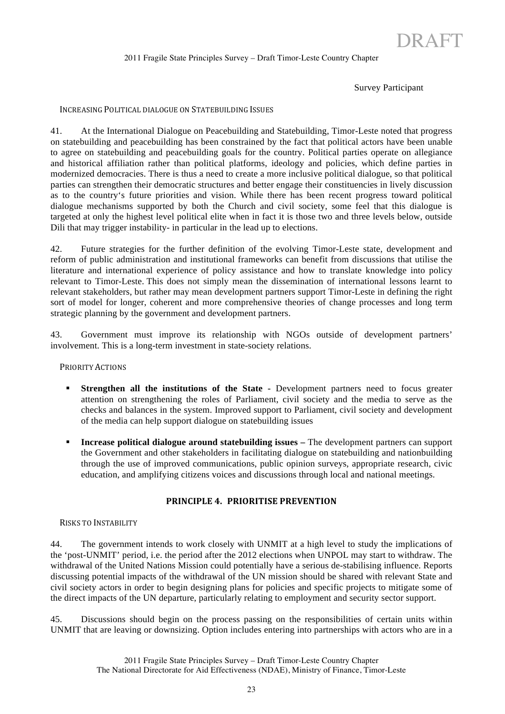### Survey Participant

DRAFT

#### INCREASING POLITICAL DIALOGUE ON STATEBUILDING ISSUES

41. At the International Dialogue on Peacebuilding and Statebuilding, Timor-Leste noted that progress on statebuilding and peacebuilding has been constrained by the fact that political actors have been unable to agree on statebuilding and peacebuilding goals for the country. Political parties operate on allegiance and historical affiliation rather than political platforms, ideology and policies, which define parties in modernized democracies. There is thus a need to create a more inclusive political dialogue, so that political parties can strengthen their democratic structures and better engage their constituencies in lively discussion as to the country's future priorities and vision. While there has been recent progress toward political dialogue mechanisms supported by both the Church and civil society, some feel that this dialogue is targeted at only the highest level political elite when in fact it is those two and three levels below, outside Dili that may trigger instability- in particular in the lead up to elections.

42. Future strategies for the further definition of the evolving Timor-Leste state, development and reform of public administration and institutional frameworks can benefit from discussions that utilise the literature and international experience of policy assistance and how to translate knowledge into policy relevant to Timor-Leste. This does not simply mean the dissemination of international lessons learnt to relevant stakeholders, but rather may mean development partners support Timor-Leste in defining the right sort of model for longer, coherent and more comprehensive theories of change processes and long term strategic planning by the government and development partners.

43. Government must improve its relationship with NGOs outside of development partners' involvement. This is a long-term investment in state-society relations.

### PRIORITY ACTIONS

- **Strengthen all the institutions of the State -** Development partners need to focus greater attention on strengthening the roles of Parliament, civil society and the media to serve as the checks and balances in the system. Improved support to Parliament, civil society and development of the media can help support dialogue on statebuilding issues
- **Increase political dialogue around statebuilding issues –** The development partners can support the Government and other stakeholders in facilitating dialogue on statebuilding and nationbuilding through the use of improved communications, public opinion surveys, appropriate research, civic education, and amplifying citizens voices and discussions through local and national meetings.

#### **PRINCIPLE 4. PRIORITISE PREVENTION**

#### RISKS TO INSTABILITY

44. The government intends to work closely with UNMIT at a high level to study the implications of the 'post-UNMIT' period, i.e. the period after the 2012 elections when UNPOL may start to withdraw. The withdrawal of the United Nations Mission could potentially have a serious de-stabilising influence. Reports discussing potential impacts of the withdrawal of the UN mission should be shared with relevant State and civil society actors in order to begin designing plans for policies and specific projects to mitigate some of the direct impacts of the UN departure, particularly relating to employment and security sector support.

45. Discussions should begin on the process passing on the responsibilities of certain units within UNMIT that are leaving or downsizing. Option includes entering into partnerships with actors who are in a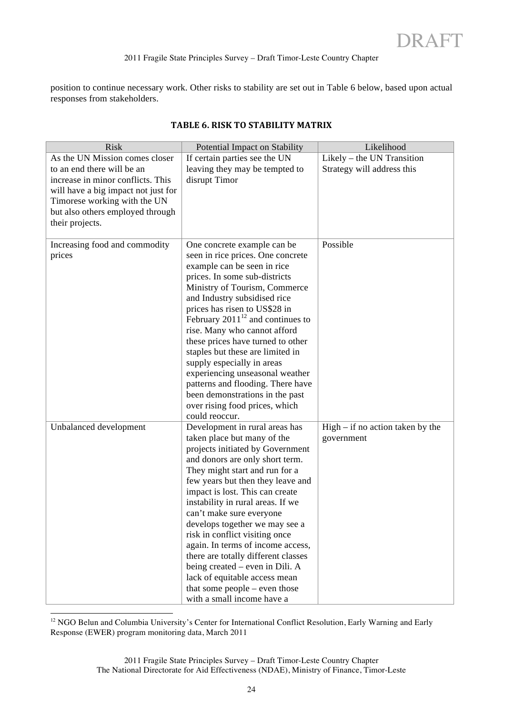position to continue necessary work. Other risks to stability are set out in Table 6 below, based upon actual responses from stakeholders.

| <b>Risk</b>                         | Potential Impact on Stability                                          | Likelihood                         |
|-------------------------------------|------------------------------------------------------------------------|------------------------------------|
| As the UN Mission comes closer      | If certain parties see the UN                                          | Likely – the UN Transition         |
| to an end there will be an          | leaving they may be tempted to                                         | Strategy will address this         |
| increase in minor conflicts. This   | disrupt Timor                                                          |                                    |
| will have a big impact not just for |                                                                        |                                    |
| Timorese working with the UN        |                                                                        |                                    |
| but also others employed through    |                                                                        |                                    |
| their projects.                     |                                                                        |                                    |
|                                     |                                                                        |                                    |
| Increasing food and commodity       | One concrete example can be                                            | Possible                           |
| prices                              | seen in rice prices. One concrete                                      |                                    |
|                                     | example can be seen in rice                                            |                                    |
|                                     | prices. In some sub-districts                                          |                                    |
|                                     | Ministry of Tourism, Commerce                                          |                                    |
|                                     | and Industry subsidised rice                                           |                                    |
|                                     | prices has risen to US\$28 in<br>February $2011^{12}$ and continues to |                                    |
|                                     | rise. Many who cannot afford                                           |                                    |
|                                     | these prices have turned to other                                      |                                    |
|                                     | staples but these are limited in                                       |                                    |
|                                     | supply especially in areas                                             |                                    |
|                                     | experiencing unseasonal weather                                        |                                    |
|                                     | patterns and flooding. There have                                      |                                    |
|                                     | been demonstrations in the past                                        |                                    |
|                                     | over rising food prices, which                                         |                                    |
|                                     | could reoccur.                                                         |                                    |
| Unbalanced development              | Development in rural areas has                                         | $High - if no action taken by the$ |
|                                     | taken place but many of the                                            | government                         |
|                                     | projects initiated by Government                                       |                                    |
|                                     | and donors are only short term.                                        |                                    |
|                                     | They might start and run for a                                         |                                    |
|                                     | few years but then they leave and                                      |                                    |
|                                     | impact is lost. This can create                                        |                                    |
|                                     | instability in rural areas. If we                                      |                                    |
|                                     | can't make sure everyone                                               |                                    |
|                                     | develops together we may see a                                         |                                    |
|                                     | risk in conflict visiting once                                         |                                    |
|                                     | again. In terms of income access,                                      |                                    |
|                                     | there are totally different classes                                    |                                    |
|                                     | being created – even in Dili. A                                        |                                    |
|                                     | lack of equitable access mean                                          |                                    |
|                                     | that some people – even those                                          |                                    |
|                                     | with a small income have a                                             |                                    |

# **TABLE 6. RISK TO STABILITY MATRIX**

<sup>12</sup> NGO Belun and Columbia University's Center for International Conflict Resolution, Early Warning and Early Response (EWER) program monitoring data, March 2011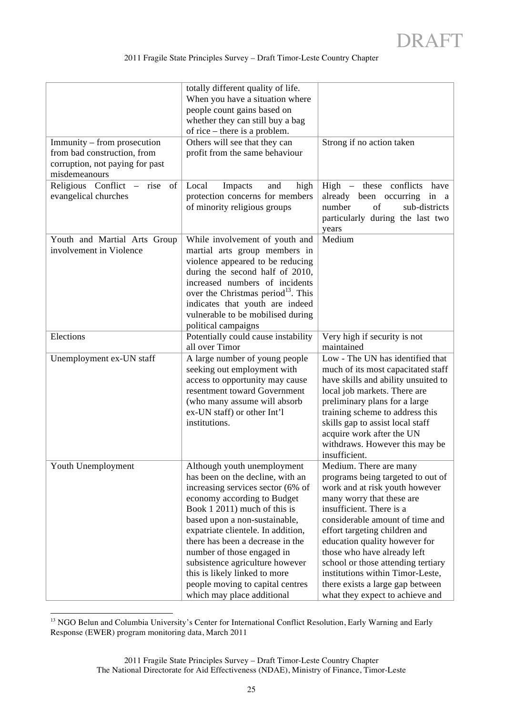| Immunity – from prosecution<br>from bad construction, from<br>corruption, not paying for past<br>misdemeanours | totally different quality of life.<br>When you have a situation where<br>people count gains based on<br>whether they can still buy a bag<br>of rice – there is a problem.<br>Others will see that they can<br>profit from the same behaviour                                                                                                                                                                                                       | Strong if no action taken                                                                                                                                                                                                                                                                                                                                                                                                                   |
|----------------------------------------------------------------------------------------------------------------|----------------------------------------------------------------------------------------------------------------------------------------------------------------------------------------------------------------------------------------------------------------------------------------------------------------------------------------------------------------------------------------------------------------------------------------------------|---------------------------------------------------------------------------------------------------------------------------------------------------------------------------------------------------------------------------------------------------------------------------------------------------------------------------------------------------------------------------------------------------------------------------------------------|
| Religious Conflict – rise of<br>evangelical churches                                                           | Local<br>and<br>Impacts<br>high<br>protection concerns for members<br>of minority religious groups                                                                                                                                                                                                                                                                                                                                                 | $High$ – these conflicts<br>have<br>already been occurring<br>in a<br>number<br>sub-districts<br>of<br>particularly during the last two<br>years                                                                                                                                                                                                                                                                                            |
| Youth and Martial Arts Group<br>involvement in Violence                                                        | While involvement of youth and<br>martial arts group members in<br>violence appeared to be reducing<br>during the second half of 2010,<br>increased numbers of incidents<br>over the Christmas period <sup>13</sup> . This<br>indicates that youth are indeed<br>vulnerable to be mobilised during<br>political campaigns                                                                                                                          | Medium                                                                                                                                                                                                                                                                                                                                                                                                                                      |
| Elections                                                                                                      | Potentially could cause instability<br>all over Timor                                                                                                                                                                                                                                                                                                                                                                                              | Very high if security is not<br>maintained                                                                                                                                                                                                                                                                                                                                                                                                  |
| Unemployment ex-UN staff                                                                                       | A large number of young people<br>seeking out employment with<br>access to opportunity may cause<br>resentment toward Government<br>(who many assume will absorb<br>ex-UN staff) or other Int'l<br>institutions.                                                                                                                                                                                                                                   | Low - The UN has identified that<br>much of its most capacitated staff<br>have skills and ability unsuited to<br>local job markets. There are<br>preliminary plans for a large<br>training scheme to address this<br>skills gap to assist local staff<br>acquire work after the UN<br>withdraws. However this may be<br>insufficient.                                                                                                       |
| Youth Unemployment                                                                                             | Although youth unemployment<br>has been on the decline, with an<br>increasing services sector (6% of<br>economy according to Budget<br>Book 1 2011) much of this is<br>based upon a non-sustainable,<br>expatriate clientele. In addition,<br>there has been a decrease in the<br>number of those engaged in<br>subsistence agriculture however<br>this is likely linked to more<br>people moving to capital centres<br>which may place additional | Medium. There are many<br>programs being targeted to out of<br>work and at risk youth however<br>many worry that these are<br>insufficient. There is a<br>considerable amount of time and<br>effort targeting children and<br>education quality however for<br>those who have already left<br>school or those attending tertiary<br>institutions within Timor-Leste,<br>there exists a large gap between<br>what they expect to achieve and |

<sup>&</sup>lt;sup>13</sup> NGO Belun and Columbia University's Center for International Conflict Resolution, Early Warning and Early Response (EWER) program monitoring data, March 2011

<sup>2011</sup> Fragile State Principles Survey – Draft Timor-Leste Country Chapter The National Directorate for Aid Effectiveness (NDAE), Ministry of Finance, Timor-Leste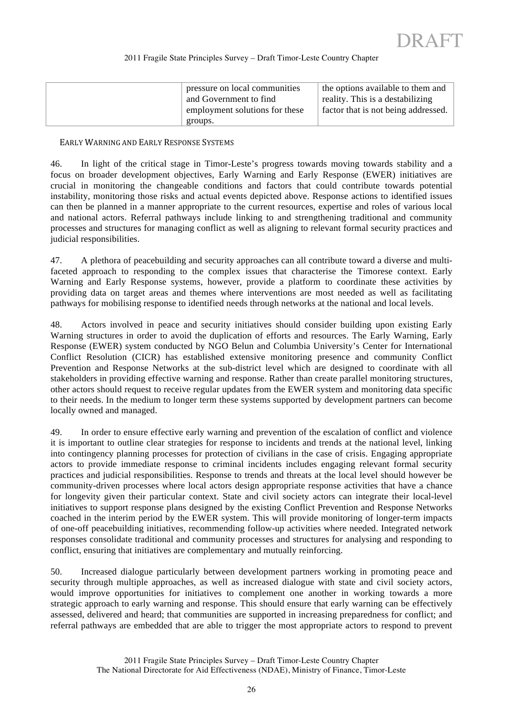| pressure on local communities  | the options available to them and   |
|--------------------------------|-------------------------------------|
| and Government to find         | reality. This is a destabilizing    |
| employment solutions for these | factor that is not being addressed. |
| groups.                        |                                     |

#### EARLY WARNING AND EARLY RESPONSE SYSTEMS

46. In light of the critical stage in Timor-Leste's progress towards moving towards stability and a focus on broader development objectives, Early Warning and Early Response (EWER) initiatives are crucial in monitoring the changeable conditions and factors that could contribute towards potential instability, monitoring those risks and actual events depicted above. Response actions to identified issues can then be planned in a manner appropriate to the current resources, expertise and roles of various local and national actors. Referral pathways include linking to and strengthening traditional and community processes and structures for managing conflict as well as aligning to relevant formal security practices and judicial responsibilities.

47. A plethora of peacebuilding and security approaches can all contribute toward a diverse and multifaceted approach to responding to the complex issues that characterise the Timorese context. Early Warning and Early Response systems, however, provide a platform to coordinate these activities by providing data on target areas and themes where interventions are most needed as well as facilitating pathways for mobilising response to identified needs through networks at the national and local levels.

48. Actors involved in peace and security initiatives should consider building upon existing Early Warning structures in order to avoid the duplication of efforts and resources. The Early Warning, Early Response (EWER) system conducted by NGO Belun and Columbia University's Center for International Conflict Resolution (CICR) has established extensive monitoring presence and community Conflict Prevention and Response Networks at the sub-district level which are designed to coordinate with all stakeholders in providing effective warning and response. Rather than create parallel monitoring structures, other actors should request to receive regular updates from the EWER system and monitoring data specific to their needs. In the medium to longer term these systems supported by development partners can become locally owned and managed.

49. In order to ensure effective early warning and prevention of the escalation of conflict and violence it is important to outline clear strategies for response to incidents and trends at the national level, linking into contingency planning processes for protection of civilians in the case of crisis. Engaging appropriate actors to provide immediate response to criminal incidents includes engaging relevant formal security practices and judicial responsibilities. Response to trends and threats at the local level should however be community-driven processes where local actors design appropriate response activities that have a chance for longevity given their particular context. State and civil society actors can integrate their local-level initiatives to support response plans designed by the existing Conflict Prevention and Response Networks coached in the interim period by the EWER system. This will provide monitoring of longer-term impacts of one-off peacebuilding initiatives, recommending follow-up activities where needed. Integrated network responses consolidate traditional and community processes and structures for analysing and responding to conflict, ensuring that initiatives are complementary and mutually reinforcing.

50. Increased dialogue particularly between development partners working in promoting peace and security through multiple approaches, as well as increased dialogue with state and civil society actors, would improve opportunities for initiatives to complement one another in working towards a more strategic approach to early warning and response. This should ensure that early warning can be effectively assessed, delivered and heard; that communities are supported in increasing preparedness for conflict; and referral pathways are embedded that are able to trigger the most appropriate actors to respond to prevent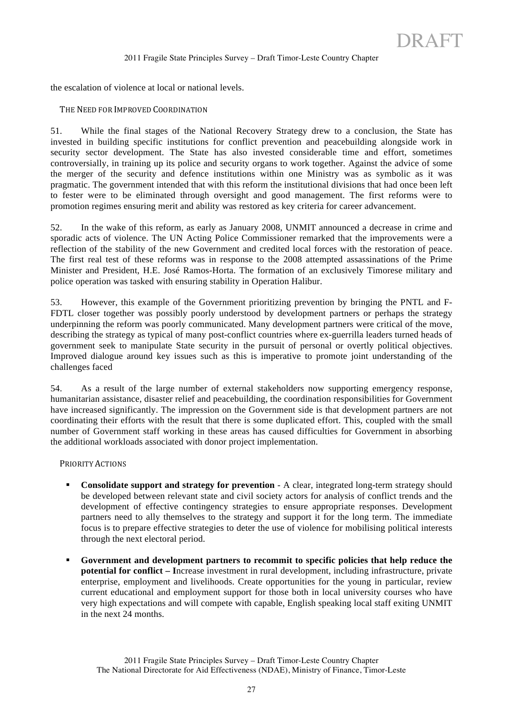the escalation of violence at local or national levels.

#### THE NEED FOR IMPROVED COORDINATION

51. While the final stages of the National Recovery Strategy drew to a conclusion, the State has invested in building specific institutions for conflict prevention and peacebuilding alongside work in security sector development. The State has also invested considerable time and effort, sometimes controversially, in training up its police and security organs to work together. Against the advice of some the merger of the security and defence institutions within one Ministry was as symbolic as it was pragmatic. The government intended that with this reform the institutional divisions that had once been left to fester were to be eliminated through oversight and good management. The first reforms were to promotion regimes ensuring merit and ability was restored as key criteria for career advancement.

52. In the wake of this reform, as early as January 2008, UNMIT announced a decrease in crime and sporadic acts of violence. The UN Acting Police Commissioner remarked that the improvements were a reflection of the stability of the new Government and credited local forces with the restoration of peace. The first real test of these reforms was in response to the 2008 attempted assassinations of the Prime Minister and President, H.E. José Ramos-Horta. The formation of an exclusively Timorese military and police operation was tasked with ensuring stability in Operation Halibur.

53. However, this example of the Government prioritizing prevention by bringing the PNTL and F-FDTL closer together was possibly poorly understood by development partners or perhaps the strategy underpinning the reform was poorly communicated. Many development partners were critical of the move, describing the strategy as typical of many post-conflict countries where ex-guerrilla leaders turned heads of government seek to manipulate State security in the pursuit of personal or overtly political objectives. Improved dialogue around key issues such as this is imperative to promote joint understanding of the challenges faced

54. As a result of the large number of external stakeholders now supporting emergency response, humanitarian assistance, disaster relief and peacebuilding, the coordination responsibilities for Government have increased significantly. The impression on the Government side is that development partners are not coordinating their efforts with the result that there is some duplicated effort. This, coupled with the small number of Government staff working in these areas has caused difficulties for Government in absorbing the additional workloads associated with donor project implementation.

PRIORITY ACTIONS

- **Consolidate support and strategy for prevention** A clear, integrated long-term strategy should be developed between relevant state and civil society actors for analysis of conflict trends and the development of effective contingency strategies to ensure appropriate responses. Development partners need to ally themselves to the strategy and support it for the long term. The immediate focus is to prepare effective strategies to deter the use of violence for mobilising political interests through the next electoral period.
- **Government and development partners to recommit to specific policies that help reduce the potential for conflict – I**ncrease investment in rural development, including infrastructure, private enterprise, employment and livelihoods. Create opportunities for the young in particular, review current educational and employment support for those both in local university courses who have very high expectations and will compete with capable, English speaking local staff exiting UNMIT in the next 24 months.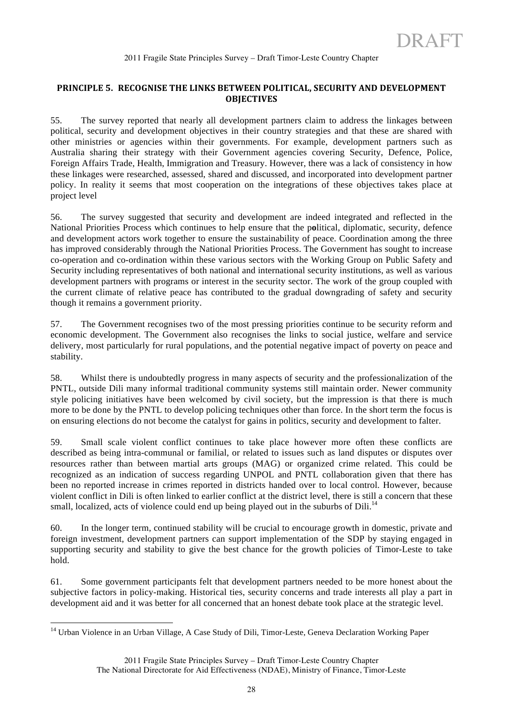# PRINCIPLE 5. RECOGNISE THE LINKS BETWEEN POLITICAL, SECURITY AND DEVELOPMENT **OBJECTIVES**

55. The survey reported that nearly all development partners claim to address the linkages between political, security and development objectives in their country strategies and that these are shared with other ministries or agencies within their governments. For example, development partners such as Australia sharing their strategy with their Government agencies covering Security, Defence, Police, Foreign Affairs Trade, Health, Immigration and Treasury. However, there was a lack of consistency in how these linkages were researched, assessed, shared and discussed, and incorporated into development partner policy. In reality it seems that most cooperation on the integrations of these objectives takes place at project level

56. The survey suggested that security and development are indeed integrated and reflected in the National Priorities Process which continues to help ensure that the p**o**litical, diplomatic, security, defence and development actors work together to ensure the sustainability of peace. Coordination among the three has improved considerably through the National Priorities Process. The Government has sought to increase co-operation and co-ordination within these various sectors with the Working Group on Public Safety and Security including representatives of both national and international security institutions, as well as various development partners with programs or interest in the security sector. The work of the group coupled with the current climate of relative peace has contributed to the gradual downgrading of safety and security though it remains a government priority.

57. The Government recognises two of the most pressing priorities continue to be security reform and economic development. The Government also recognises the links to social justice, welfare and service delivery, most particularly for rural populations, and the potential negative impact of poverty on peace and stability.

58. Whilst there is undoubtedly progress in many aspects of security and the professionalization of the PNTL, outside Dili many informal traditional community systems still maintain order. Newer community style policing initiatives have been welcomed by civil society, but the impression is that there is much more to be done by the PNTL to develop policing techniques other than force. In the short term the focus is on ensuring elections do not become the catalyst for gains in politics, security and development to falter.

59. Small scale violent conflict continues to take place however more often these conflicts are described as being intra-communal or familial, or related to issues such as land disputes or disputes over resources rather than between martial arts groups (MAG) or organized crime related. This could be recognized as an indication of success regarding UNPOL and PNTL collaboration given that there has been no reported increase in crimes reported in districts handed over to local control. However, because violent conflict in Dili is often linked to earlier conflict at the district level, there is still a concern that these small, localized, acts of violence could end up being played out in the suburbs of Dili.<sup>14</sup>

60. In the longer term, continued stability will be crucial to encourage growth in domestic, private and foreign investment, development partners can support implementation of the SDP by staying engaged in supporting security and stability to give the best chance for the growth policies of Timor-Leste to take hold.

61. Some government participants felt that development partners needed to be more honest about the subjective factors in policy-making. Historical ties, security concerns and trade interests all play a part in development aid and it was better for all concerned that an honest debate took place at the strategic level.

<sup>&</sup>lt;sup>14</sup> Urban Violence in an Urban Village, A Case Study of Dili, Timor-Leste, Geneva Declaration Working Paper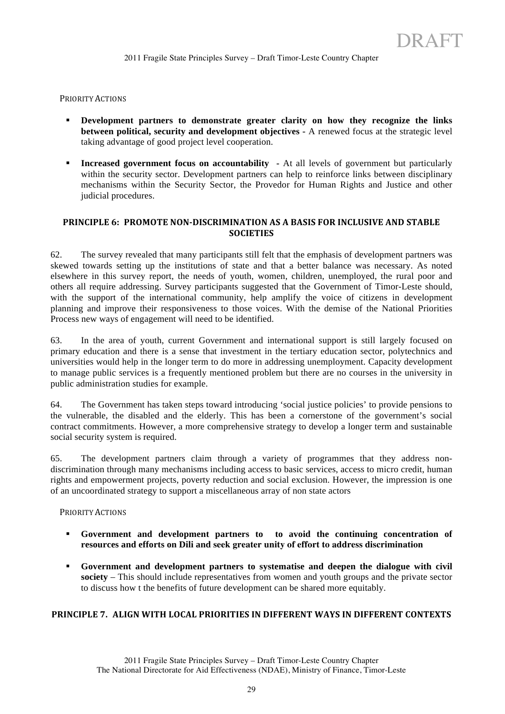#### PRIORITY ACTIONS

- **Development partners to demonstrate greater clarity on how they recognize the links between political, security and development objectives -** A renewed focus at the strategic level taking advantage of good project level cooperation.
- **Increased government focus on accountability** At all levels of government but particularly within the security sector. Development partners can help to reinforce links between disciplinary mechanisms within the Security Sector, the Provedor for Human Rights and Justice and other judicial procedures.

# **PRINCIPLE 6: PROMOTE NON-DISCRIMINATION AS A BASIS FOR INCLUSIVE AND STABLE SOCIETIES**

62. The survey revealed that many participants still felt that the emphasis of development partners was skewed towards setting up the institutions of state and that a better balance was necessary. As noted elsewhere in this survey report, the needs of youth, women, children, unemployed, the rural poor and others all require addressing. Survey participants suggested that the Government of Timor-Leste should, with the support of the international community, help amplify the voice of citizens in development planning and improve their responsiveness to those voices. With the demise of the National Priorities Process new ways of engagement will need to be identified.

63. In the area of youth, current Government and international support is still largely focused on primary education and there is a sense that investment in the tertiary education sector, polytechnics and universities would help in the longer term to do more in addressing unemployment. Capacity development to manage public services is a frequently mentioned problem but there are no courses in the university in public administration studies for example.

64. The Government has taken steps toward introducing 'social justice policies' to provide pensions to the vulnerable, the disabled and the elderly. This has been a cornerstone of the government's social contract commitments. However, a more comprehensive strategy to develop a longer term and sustainable social security system is required.

65. The development partners claim through a variety of programmes that they address nondiscrimination through many mechanisms including access to basic services, access to micro credit, human rights and empowerment projects, poverty reduction and social exclusion. However, the impression is one of an uncoordinated strategy to support a miscellaneous array of non state actors

#### PRIORITY ACTIONS

- **Government and development partners to to avoid the continuing concentration of resources and efforts on Dili and seek greater unity of effort to address discrimination**
- **Government and development partners to systematise and deepen the dialogue with civil society** – This should include representatives from women and youth groups and the private sector to discuss how t the benefits of future development can be shared more equitably.

# **PRINCIPLE 7. ALIGN WITH LOCAL PRIORITIES IN DIFFERENT WAYS IN DIFFERENT CONTEXTS**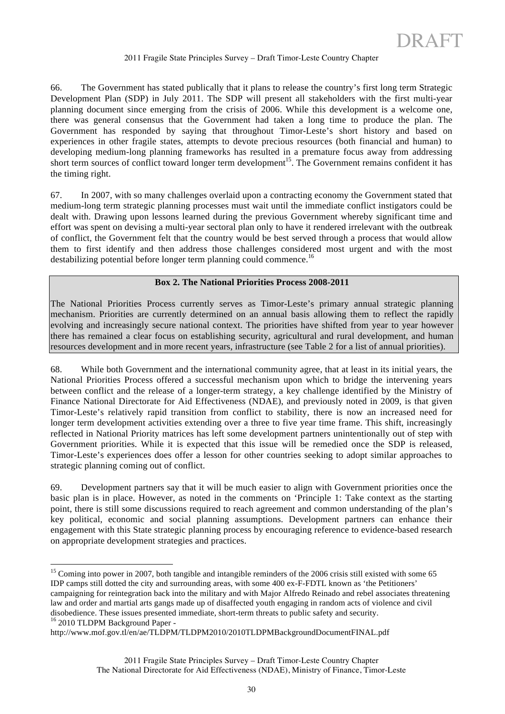66. The Government has stated publically that it plans to release the country's first long term Strategic Development Plan (SDP) in July 2011. The SDP will present all stakeholders with the first multi-year planning document since emerging from the crisis of 2006. While this development is a welcome one, there was general consensus that the Government had taken a long time to produce the plan. The Government has responded by saying that throughout Timor-Leste's short history and based on experiences in other fragile states, attempts to devote precious resources (both financial and human) to developing medium-long planning frameworks has resulted in a premature focus away from addressing short term sources of conflict toward longer term development<sup>15</sup>. The Government remains confident it has the timing right.

67. In 2007, with so many challenges overlaid upon a contracting economy the Government stated that medium-long term strategic planning processes must wait until the immediate conflict instigators could be dealt with. Drawing upon lessons learned during the previous Government whereby significant time and effort was spent on devising a multi-year sectoral plan only to have it rendered irrelevant with the outbreak of conflict, the Government felt that the country would be best served through a process that would allow them to first identify and then address those challenges considered most urgent and with the most destabilizing potential before longer term planning could commence.<sup>16</sup>

#### **Box 2. The National Priorities Process 2008-2011**

The National Priorities Process currently serves as Timor-Leste's primary annual strategic planning mechanism. Priorities are currently determined on an annual basis allowing them to reflect the rapidly evolving and increasingly secure national context. The priorities have shifted from year to year however there has remained a clear focus on establishing security, agricultural and rural development, and human resources development and in more recent years, infrastructure (see Table 2 for a list of annual priorities).

68. While both Government and the international community agree, that at least in its initial years, the National Priorities Process offered a successful mechanism upon which to bridge the intervening years between conflict and the release of a longer-term strategy, a key challenge identified by the Ministry of Finance National Directorate for Aid Effectiveness (NDAE), and previously noted in 2009, is that given Timor-Leste's relatively rapid transition from conflict to stability, there is now an increased need for longer term development activities extending over a three to five year time frame. This shift, increasingly reflected in National Priority matrices has left some development partners unintentionally out of step with Government priorities. While it is expected that this issue will be remedied once the SDP is released, Timor-Leste's experiences does offer a lesson for other countries seeking to adopt similar approaches to strategic planning coming out of conflict.

69. Development partners say that it will be much easier to align with Government priorities once the basic plan is in place. However, as noted in the comments on 'Principle 1: Take context as the starting point, there is still some discussions required to reach agreement and common understanding of the plan's key political, economic and social planning assumptions. Development partners can enhance their engagement with this State strategic planning process by encouraging reference to evidence-based research on appropriate development strategies and practices.

<sup>&</sup>lt;sup>15</sup> Coming into power in 2007, both tangible and intangible reminders of the 2006 crisis still existed with some 65 IDP camps still dotted the city and surrounding areas, with some 400 ex-F-FDTL known as 'the Petitioners' campaigning for reintegration back into the military and with Major Alfredo Reinado and rebel associates threatening law and order and martial arts gangs made up of disaffected youth engaging in random acts of violence and civil disobedience. These issues presented immediate, short-term threats to public safety and security. 16 2010 TLDPM Background Paper -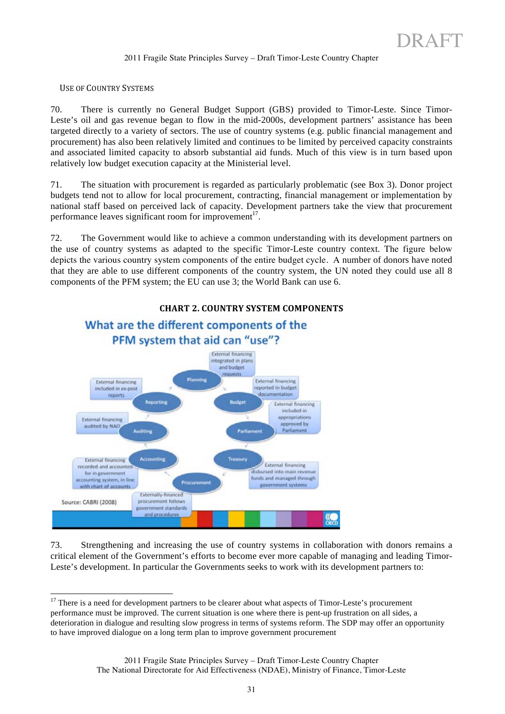#### USE OF COUNTRY SYSTEMS

70. There is currently no General Budget Support (GBS) provided to Timor-Leste. Since Timor-Leste's oil and gas revenue began to flow in the mid-2000s, development partners' assistance has been targeted directly to a variety of sectors. The use of country systems (e.g. public financial management and procurement) has also been relatively limited and continues to be limited by perceived capacity constraints and associated limited capacity to absorb substantial aid funds. Much of this view is in turn based upon relatively low budget execution capacity at the Ministerial level.

71. The situation with procurement is regarded as particularly problematic (see Box 3). Donor project budgets tend not to allow for local procurement, contracting, financial management or implementation by national staff based on perceived lack of capacity. Development partners take the view that procurement performance leaves significant room for improvement<sup>17</sup>.

72. The Government would like to achieve a common understanding with its development partners on the use of country systems as adapted to the specific Timor-Leste country context. The figure below depicts the various country system components of the entire budget cycle. A number of donors have noted that they are able to use different components of the country system, the UN noted they could use all 8 components of the PFM system; the EU can use 3; the World Bank can use 6.



#### **CHART 2. COUNTRY SYSTEM COMPONENTS**

73. Strengthening and increasing the use of country systems in collaboration with donors remains a critical element of the Government's efforts to become ever more capable of managing and leading Timor-Leste's development. In particular the Governments seeks to work with its development partners to:

<sup>&</sup>lt;sup>17</sup> There is a need for development partners to be clearer about what aspects of Timor-Leste's procurement performance must be improved. The current situation is one where there is pent-up frustration on all sides, a deterioration in dialogue and resulting slow progress in terms of systems reform. The SDP may offer an opportunity to have improved dialogue on a long term plan to improve government procurement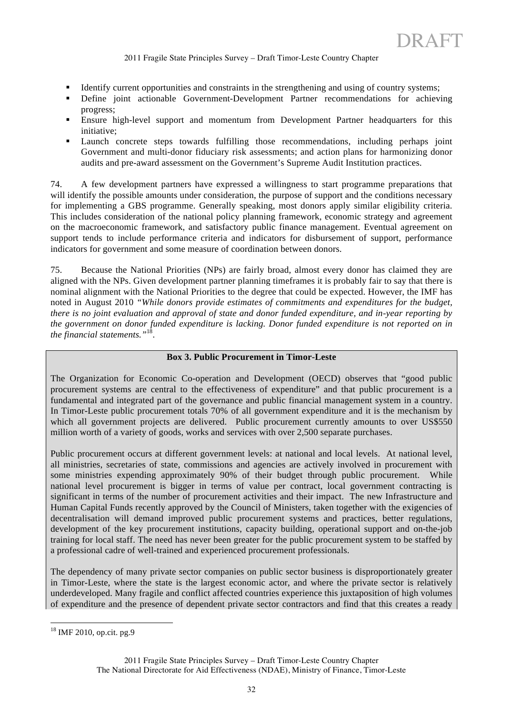- Identify current opportunities and constraints in the strengthening and using of country systems;
- Define joint actionable Government-Development Partner recommendations for achieving progress;
- Ensure high-level support and momentum from Development Partner headquarters for this initiative;
- Launch concrete steps towards fulfilling those recommendations, including perhaps joint Government and multi-donor fiduciary risk assessments; and action plans for harmonizing donor audits and pre-award assessment on the Government's Supreme Audit Institution practices.

74. A few development partners have expressed a willingness to start programme preparations that will identify the possible amounts under consideration, the purpose of support and the conditions necessary for implementing a GBS programme. Generally speaking, most donors apply similar eligibility criteria. This includes consideration of the national policy planning framework, economic strategy and agreement on the macroeconomic framework, and satisfactory public finance management. Eventual agreement on support tends to include performance criteria and indicators for disbursement of support, performance indicators for government and some measure of coordination between donors.

75. Because the National Priorities (NPs) are fairly broad, almost every donor has claimed they are aligned with the NPs. Given development partner planning timeframes it is probably fair to say that there is nominal alignment with the National Priorities to the degree that could be expected. However, the IMF has noted in August 2010 *"While donors provide estimates of commitments and expenditures for the budget, there is no joint evaluation and approval of state and donor funded expenditure, and in-year reporting by the government on donor funded expenditure is lacking. Donor funded expenditure is not reported on in the financial statements."*18.

#### **Box 3. Public Procurement in Timor-Leste**

The Organization for Economic Co-operation and Development (OECD) observes that "good public procurement systems are central to the effectiveness of expenditure" and that public procurement is a fundamental and integrated part of the governance and public financial management system in a country. In Timor-Leste public procurement totals 70% of all government expenditure and it is the mechanism by which all government projects are delivered. Public procurement currently amounts to over US\$550 million worth of a variety of goods, works and services with over 2,500 separate purchases.

Public procurement occurs at different government levels: at national and local levels. At national level, all ministries, secretaries of state, commissions and agencies are actively involved in procurement with some ministries expending approximately 90% of their budget through public procurement. While national level procurement is bigger in terms of value per contract, local government contracting is significant in terms of the number of procurement activities and their impact. The new Infrastructure and Human Capital Funds recently approved by the Council of Ministers, taken together with the exigencies of decentralisation will demand improved public procurement systems and practices, better regulations, development of the key procurement institutions, capacity building, operational support and on-the-job training for local staff. The need has never been greater for the public procurement system to be staffed by a professional cadre of well-trained and experienced procurement professionals.

The dependency of many private sector companies on public sector business is disproportionately greater in Timor-Leste, where the state is the largest economic actor, and where the private sector is relatively underdeveloped. Many fragile and conflict affected countries experience this juxtaposition of high volumes of expenditure and the presence of dependent private sector contractors and find that this creates a ready

<sup>&</sup>lt;sup>18</sup> IMF 2010, op.cit. pg.9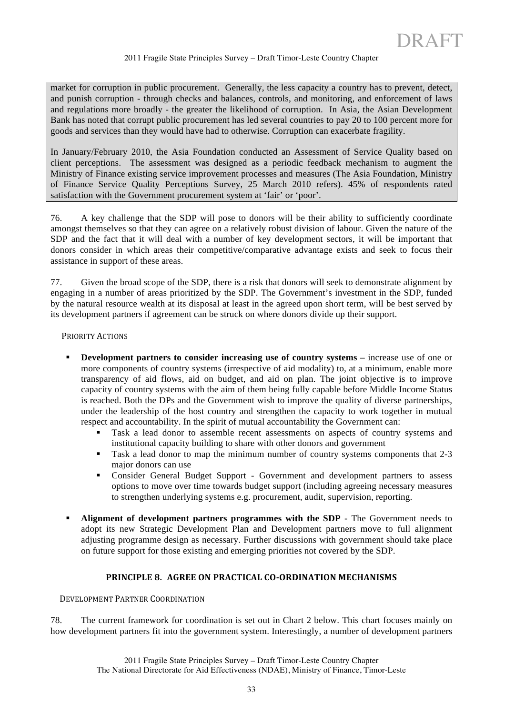market for corruption in public procurement. Generally, the less capacity a country has to prevent, detect, and punish corruption - through checks and balances, controls, and monitoring, and enforcement of laws and regulations more broadly - the greater the likelihood of corruption. In Asia, the Asian Development Bank has noted that corrupt public procurement has led several countries to pay 20 to 100 percent more for goods and services than they would have had to otherwise. Corruption can exacerbate fragility.

In January/February 2010, the Asia Foundation conducted an Assessment of Service Quality based on client perceptions. The assessment was designed as a periodic feedback mechanism to augment the Ministry of Finance existing service improvement processes and measures (The Asia Foundation, Ministry of Finance Service Quality Perceptions Survey, 25 March 2010 refers). 45% of respondents rated satisfaction with the Government procurement system at 'fair' or 'poor'.

76. A key challenge that the SDP will pose to donors will be their ability to sufficiently coordinate amongst themselves so that they can agree on a relatively robust division of labour. Given the nature of the SDP and the fact that it will deal with a number of key development sectors, it will be important that donors consider in which areas their competitive/comparative advantage exists and seek to focus their assistance in support of these areas.

77. Given the broad scope of the SDP, there is a risk that donors will seek to demonstrate alignment by engaging in a number of areas prioritized by the SDP. The Government's investment in the SDP, funded by the natural resource wealth at its disposal at least in the agreed upon short term, will be best served by its development partners if agreement can be struck on where donors divide up their support.

#### PRIORITY ACTIONS

- **Development partners to consider increasing use of country systems –** increase use of one or more components of country systems (irrespective of aid modality) to, at a minimum, enable more transparency of aid flows, aid on budget, and aid on plan. The joint objective is to improve capacity of country systems with the aim of them being fully capable before Middle Income Status is reached. Both the DPs and the Government wish to improve the quality of diverse partnerships, under the leadership of the host country and strengthen the capacity to work together in mutual respect and accountability. In the spirit of mutual accountability the Government can:
	- Task a lead donor to assemble recent assessments on aspects of country systems and institutional capacity building to share with other donors and government
	- Task a lead donor to map the minimum number of country systems components that 2-3 major donors can use
	- Consider General Budget Support Government and development partners to assess options to move over time towards budget support (including agreeing necessary measures to strengthen underlying systems e.g. procurement, audit, supervision, reporting.
- **Alignment of development partners programmes with the SDP -** The Government needs to adopt its new Strategic Development Plan and Development partners move to full alignment adjusting programme design as necessary. Further discussions with government should take place on future support for those existing and emerging priorities not covered by the SDP.

#### PRINCIPLE 8. AGREE ON PRACTICAL CO-ORDINATION MECHANISMS

# DEVELOPMENT PARTNER COORDINATION

78. The current framework for coordination is set out in Chart 2 below. This chart focuses mainly on how development partners fit into the government system. Interestingly, a number of development partners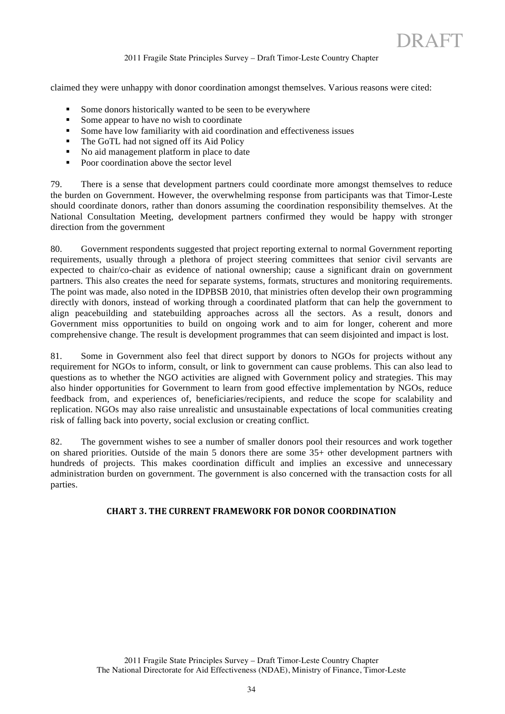claimed they were unhappy with donor coordination amongst themselves. Various reasons were cited:

- Some donors historically wanted to be seen to be everywhere
- Some appear to have no wish to coordinate
- Some have low familiarity with aid coordination and effectiveness issues
- The GoTL had not signed off its Aid Policy
- No aid management platform in place to date
- Poor coordination above the sector level

79. There is a sense that development partners could coordinate more amongst themselves to reduce the burden on Government. However, the overwhelming response from participants was that Timor-Leste should coordinate donors, rather than donors assuming the coordination responsibility themselves. At the National Consultation Meeting, development partners confirmed they would be happy with stronger direction from the government

80. Government respondents suggested that project reporting external to normal Government reporting requirements, usually through a plethora of project steering committees that senior civil servants are expected to chair/co-chair as evidence of national ownership; cause a significant drain on government partners. This also creates the need for separate systems, formats, structures and monitoring requirements. The point was made, also noted in the IDPBSB 2010, that ministries often develop their own programming directly with donors, instead of working through a coordinated platform that can help the government to align peacebuilding and statebuilding approaches across all the sectors. As a result, donors and Government miss opportunities to build on ongoing work and to aim for longer, coherent and more comprehensive change. The result is development programmes that can seem disjointed and impact is lost.

81. Some in Government also feel that direct support by donors to NGOs for projects without any requirement for NGOs to inform, consult, or link to government can cause problems. This can also lead to questions as to whether the NGO activities are aligned with Government policy and strategies. This may also hinder opportunities for Government to learn from good effective implementation by NGOs, reduce feedback from, and experiences of, beneficiaries/recipients, and reduce the scope for scalability and replication. NGOs may also raise unrealistic and unsustainable expectations of local communities creating risk of falling back into poverty, social exclusion or creating conflict.

82. The government wishes to see a number of smaller donors pool their resources and work together on shared priorities. Outside of the main 5 donors there are some 35+ other development partners with hundreds of projects. This makes coordination difficult and implies an excessive and unnecessary administration burden on government. The government is also concerned with the transaction costs for all parties.

#### **CHART 3. THE CURRENT FRAMEWORK FOR DONOR COORDINATION**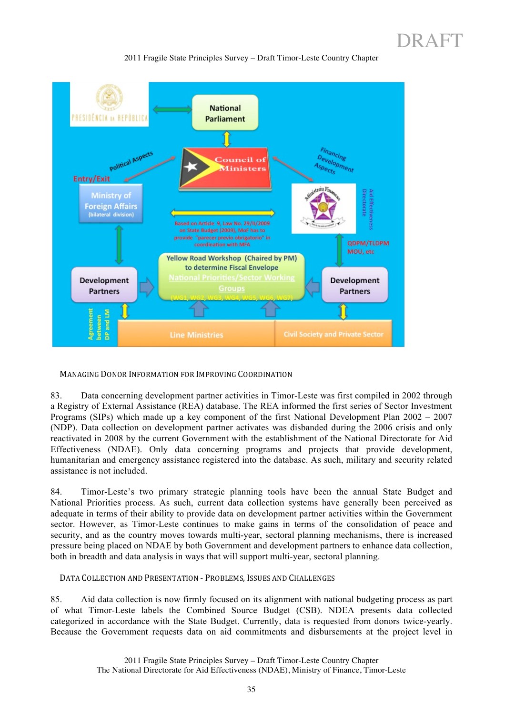

2011 Fragile State Principles Survey – Draft Timor-Leste Country Chapter

MANAGING DONOR INFORMATION FOR IMPROVING COORDINATION

83. Data concerning development partner activities in Timor-Leste was first compiled in 2002 through a Registry of External Assistance (REA) database. The REA informed the first series of Sector Investment Programs (SIPs) which made up a key component of the first National Development Plan 2002 – 2007 (NDP). Data collection on development partner activates was disbanded during the 2006 crisis and only reactivated in 2008 by the current Government with the establishment of the National Directorate for Aid Effectiveness (NDAE). Only data concerning programs and projects that provide development, humanitarian and emergency assistance registered into the database. As such, military and security related assistance is not included.

84. Timor-Leste's two primary strategic planning tools have been the annual State Budget and National Priorities process. As such, current data collection systems have generally been perceived as adequate in terms of their ability to provide data on development partner activities within the Government sector. However, as Timor-Leste continues to make gains in terms of the consolidation of peace and security, and as the country moves towards multi-year, sectoral planning mechanisms, there is increased pressure being placed on NDAE by both Government and development partners to enhance data collection, both in breadth and data analysis in ways that will support multi-year, sectoral planning.

DATA COLLECTION AND PRESENTATION - PROBLEMS, ISSUES AND CHALLENGES

85. Aid data collection is now firmly focused on its alignment with national budgeting process as part of what Timor-Leste labels the Combined Source Budget (CSB). NDEA presents data collected categorized in accordance with the State Budget. Currently, data is requested from donors twice-yearly. Because the Government requests data on aid commitments and disbursements at the project level in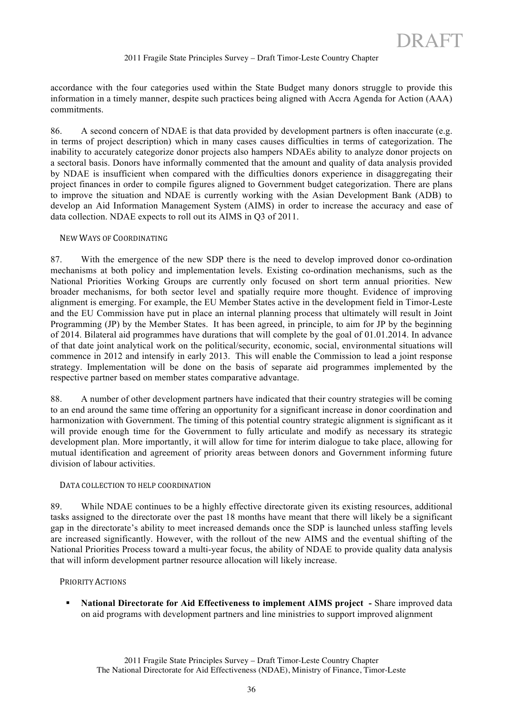accordance with the four categories used within the State Budget many donors struggle to provide this information in a timely manner, despite such practices being aligned with Accra Agenda for Action (AAA) commitments.

86. A second concern of NDAE is that data provided by development partners is often inaccurate (e.g. in terms of project description) which in many cases causes difficulties in terms of categorization. The inability to accurately categorize donor projects also hampers NDAEs ability to analyze donor projects on a sectoral basis. Donors have informally commented that the amount and quality of data analysis provided by NDAE is insufficient when compared with the difficulties donors experience in disaggregating their project finances in order to compile figures aligned to Government budget categorization. There are plans to improve the situation and NDAE is currently working with the Asian Development Bank (ADB) to develop an Aid Information Management System (AIMS) in order to increase the accuracy and ease of data collection. NDAE expects to roll out its AIMS in Q3 of 2011.

#### NEW WAYS OF COORDINATING

87. With the emergence of the new SDP there is the need to develop improved donor co-ordination mechanisms at both policy and implementation levels. Existing co-ordination mechanisms, such as the National Priorities Working Groups are currently only focused on short term annual priorities. New broader mechanisms, for both sector level and spatially require more thought. Evidence of improving alignment is emerging. For example, the EU Member States active in the development field in Timor-Leste and the EU Commission have put in place an internal planning process that ultimately will result in Joint Programming (JP) by the Member States. It has been agreed, in principle, to aim for JP by the beginning of 2014. Bilateral aid programmes have durations that will complete by the goal of 01.01.2014. In advance of that date joint analytical work on the political/security, economic, social, environmental situations will commence in 2012 and intensify in early 2013. This will enable the Commission to lead a joint response strategy. Implementation will be done on the basis of separate aid programmes implemented by the respective partner based on member states comparative advantage.

88. A number of other development partners have indicated that their country strategies will be coming to an end around the same time offering an opportunity for a significant increase in donor coordination and harmonization with Government. The timing of this potential country strategic alignment is significant as it will provide enough time for the Government to fully articulate and modify as necessary its strategic development plan. More importantly, it will allow for time for interim dialogue to take place, allowing for mutual identification and agreement of priority areas between donors and Government informing future division of labour activities.

#### DATA COLLECTION TO HELP COORDINATION

89. While NDAE continues to be a highly effective directorate given its existing resources, additional tasks assigned to the directorate over the past 18 months have meant that there will likely be a significant gap in the directorate's ability to meet increased demands once the SDP is launched unless staffing levels are increased significantly. However, with the rollout of the new AIMS and the eventual shifting of the National Priorities Process toward a multi-year focus, the ability of NDAE to provide quality data analysis that will inform development partner resource allocation will likely increase.

#### PRIORITY ACTIONS

 **National Directorate for Aid Effectiveness to implement AIMS project -** Share improved data on aid programs with development partners and line ministries to support improved alignment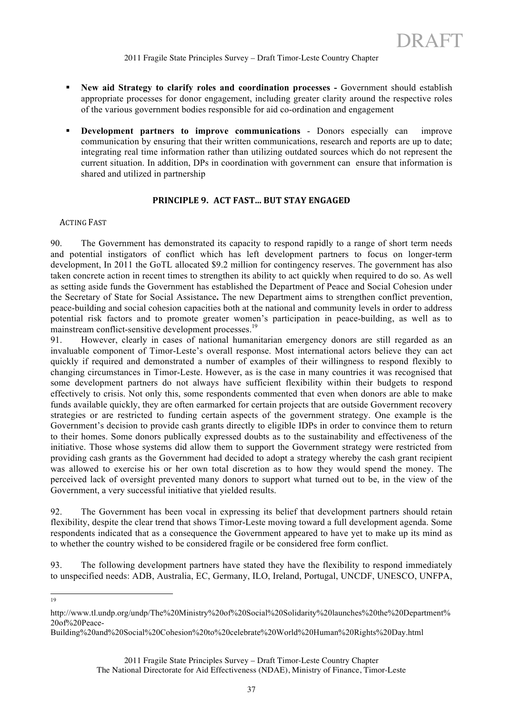- **New aid Strategy to clarify roles and coordination processes Government should establish** appropriate processes for donor engagement, including greater clarity around the respective roles of the various government bodies responsible for aid co-ordination and engagement
- **Development partners to improve communications** Donors especially can improve communication by ensuring that their written communications, research and reports are up to date; integrating real time information rather than utilizing outdated sources which do not represent the current situation. In addition, DPs in coordination with government can ensure that information is shared and utilized in partnership

# **PRINCIPLE 9. ACT FAST... BUT STAY ENGAGED**

#### **ACTING FAST**

90. The Government has demonstrated its capacity to respond rapidly to a range of short term needs and potential instigators of conflict which has left development partners to focus on longer-term development, In 2011 the GoTL allocated \$9.2 million for contingency reserves. The government has also taken concrete action in recent times to strengthen its ability to act quickly when required to do so. As well as setting aside funds the Government has established the Department of Peace and Social Cohesion under the Secretary of State for Social Assistance**.** The new Department aims to strengthen conflict prevention, peace-building and social cohesion capacities both at the national and community levels in order to address potential risk factors and to promote greater women's participation in peace-building, as well as to mainstream conflict-sensitive development processes.<sup>19</sup>

91. However, clearly in cases of national humanitarian emergency donors are still regarded as an invaluable component of Timor-Leste's overall response. Most international actors believe they can act quickly if required and demonstrated a number of examples of their willingness to respond flexibly to changing circumstances in Timor-Leste. However, as is the case in many countries it was recognised that some development partners do not always have sufficient flexibility within their budgets to respond effectively to crisis. Not only this, some respondents commented that even when donors are able to make funds available quickly, they are often earmarked for certain projects that are outside Government recovery strategies or are restricted to funding certain aspects of the government strategy. One example is the Government's decision to provide cash grants directly to eligible IDPs in order to convince them to return to their homes. Some donors publically expressed doubts as to the sustainability and effectiveness of the initiative. Those whose systems did allow them to support the Government strategy were restricted from providing cash grants as the Government had decided to adopt a strategy whereby the cash grant recipient was allowed to exercise his or her own total discretion as to how they would spend the money. The perceived lack of oversight prevented many donors to support what turned out to be, in the view of the Government, a very successful initiative that yielded results.

92. The Government has been vocal in expressing its belief that development partners should retain flexibility, despite the clear trend that shows Timor-Leste moving toward a full development agenda. Some respondents indicated that as a consequence the Government appeared to have yet to make up its mind as to whether the country wished to be considered fragile or be considered free form conflict.

93. The following development partners have stated they have the flexibility to respond immediately to unspecified needs: ADB, Australia, EC, Germany, ILO, Ireland, Portugal, UNCDF, UNESCO, UNFPA,

19

http://www.tl.undp.org/undp/The%20Ministry%20of%20Social%20Solidarity%20launches%20the%20Department% 20of%20Peace-

Building%20and%20Social%20Cohesion%20to%20celebrate%20World%20Human%20Rights%20Day.html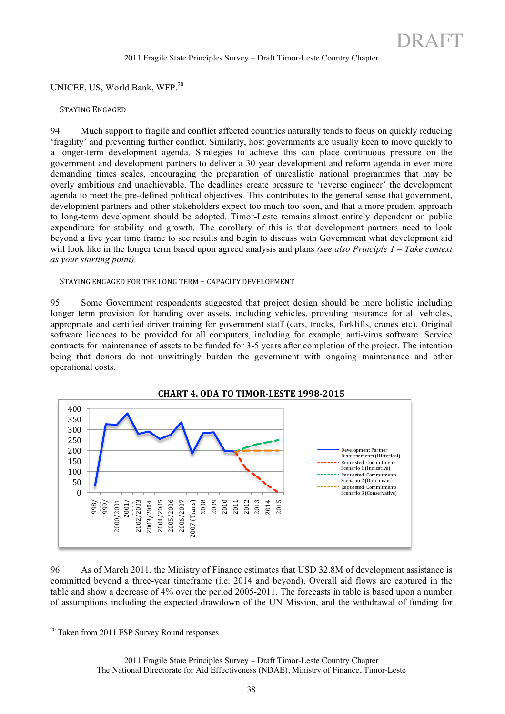UNICEF, US, World Bank, WFP.<sup>20</sup>

#### STAYING ENGAGED

94. Much support to fragile and conflict affected countries naturally tends to focus on quickly reducing 'fragility' and preventing further conflict. Similarly, host governments are usually keen to move quickly to a longer-term development agenda. Strategies to achieve this can place continuous pressure on the government and development partners to deliver a 30 year development and reform agenda in ever more demanding times scales, encouraging the preparation of unrealistic national programmes that may be overly ambitious and unachievable. The deadlines create pressure to 'reverse engineer' the development agenda to meet the pre-defined political objectives. This contributes to the general sense that government, development partners and other stakeholders expect too much too soon, and that a more prudent approach to long-term development should be adopted. Timor-Leste remains almost entirely dependent on public expenditure for stability and growth. The corollary of this is that development partners need to look beyond a five year time frame to see results and begin to discuss with Government what development aid will look like in the longer term based upon agreed analysis and plans *(see also Principle 1 – Take context as your starting point).*

#### STAYING ENGAGED FOR THE LONG TERM – CAPACITY DEVELOPMENT

95. Some Government respondents suggested that project design should be more holistic including longer term provision for handing over assets, including vehicles, providing insurance for all vehicles, appropriate and certified driver training for government staff (cars, trucks, forklifts, cranes etc). Original software licences to be provided for all computers, including for example, anti-virus software. Service contracts for maintenance of assets to be funded for 3-5 years after completion of the project. The intention being that donors do not unwittingly burden the government with ongoing maintenance and other operational costs.



# 96. As of March 2011, the Ministry of Finance estimates that USD 32.8M of development assistance is committed beyond a three-year timeframe (i.e. 2014 and beyond). Overall aid flows are captured in the table and show a decrease of 4% over the period 2005-2011. The forecasts in table is based upon a number of assumptions including the expected drawdown of the UN Mission, and the withdrawal of funding for

<sup>&</sup>lt;sup>20</sup> Taken from 2011 FSP Survey Round responses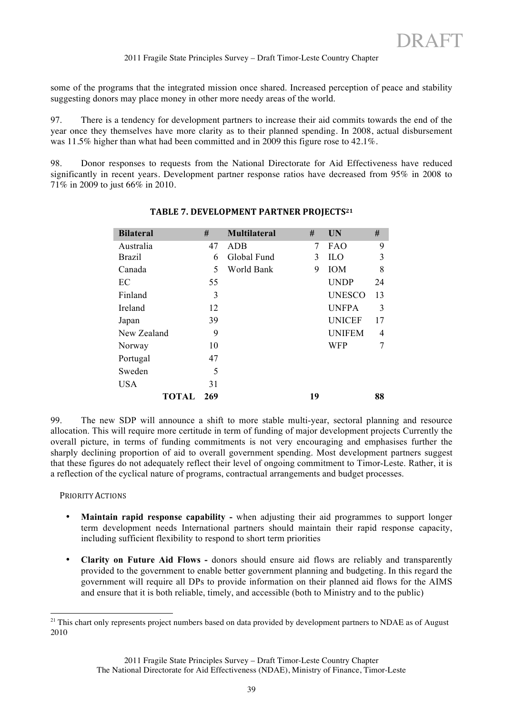some of the programs that the integrated mission once shared. Increased perception of peace and stability suggesting donors may place money in other more needy areas of the world.

97. There is a tendency for development partners to increase their aid commits towards the end of the year once they themselves have more clarity as to their planned spending. In 2008, actual disbursement was 11.5% higher than what had been committed and in 2009 this figure rose to 42.1%.

98. Donor responses to requests from the National Directorate for Aid Effectiveness have reduced significantly in recent years. Development partner response ratios have decreased from 95% in 2008 to 71% in 2009 to just 66% in 2010.

| <b>Bilateral</b> | #   | <b>Multilateral</b> | #  | <b>UN</b>     | #  |
|------------------|-----|---------------------|----|---------------|----|
| Australia        | 47  | <b>ADB</b>          | 7  | FAO           | 9  |
| <b>Brazil</b>    | 6   | Global Fund         | 3  | <b>ILO</b>    | 3  |
| Canada           | 5   | World Bank          | 9  | IOM           | 8  |
| EC               | 55  |                     |    | <b>UNDP</b>   | 24 |
| Finland          | 3   |                     |    | <b>UNESCO</b> | 13 |
| Ireland          | 12  |                     |    | <b>UNFPA</b>  | 3  |
| Japan            | 39  |                     |    | <b>UNICEF</b> | 17 |
| New Zealand      | 9   |                     |    | <b>UNIFEM</b> | 4  |
| Norway           | 10  |                     |    | <b>WFP</b>    | 7  |
| Portugal         | 47  |                     |    |               |    |
| Sweden           | 5   |                     |    |               |    |
| <b>USA</b>       | 31  |                     |    |               |    |
| TOTAL            | 269 |                     | 19 |               | 88 |

# TABLE 7. DEVELOPMENT PARTNER PROJECTS<sup>21</sup>

99. The new SDP will announce a shift to more stable multi-year, sectoral planning and resource allocation. This will require more certitude in term of funding of major development projects Currently the overall picture, in terms of funding commitments is not very encouraging and emphasises further the sharply declining proportion of aid to overall government spending. Most development partners suggest that these figures do not adequately reflect their level of ongoing commitment to Timor-Leste. Rather, it is a reflection of the cyclical nature of programs, contractual arrangements and budget processes.

PRIORITY ACTIONS

- **Maintain rapid response capability -** when adjusting their aid programmes to support longer term development needs International partners should maintain their rapid response capacity, including sufficient flexibility to respond to short term priorities
- **Clarity on Future Aid Flows -** donors should ensure aid flows are reliably and transparently provided to the government to enable better government planning and budgeting. In this regard the government will require all DPs to provide information on their planned aid flows for the AIMS and ensure that it is both reliable, timely, and accessible (both to Ministry and to the public)

 $21$  This chart only represents project numbers based on data provided by development partners to NDAE as of August 2010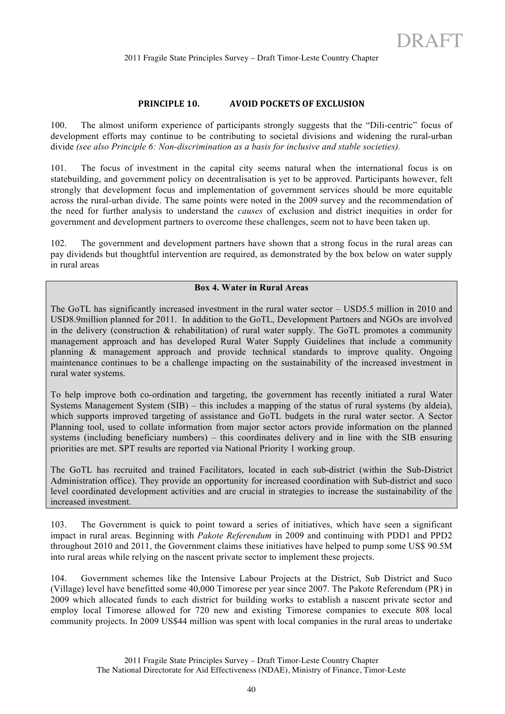### **PRINCIPLE 10. AVOID POCKETS OF EXCLUSION**

100. The almost uniform experience of participants strongly suggests that the "Dili-centric" focus of development efforts may continue to be contributing to societal divisions and widening the rural-urban divide *(see also Principle 6: Non-discrimination as a basis for inclusive and stable societies).*

101. The focus of investment in the capital city seems natural when the international focus is on statebuilding, and government policy on decentralisation is yet to be approved. Participants however, felt strongly that development focus and implementation of government services should be more equitable across the rural-urban divide. The same points were noted in the 2009 survey and the recommendation of the need for further analysis to understand the *causes* of exclusion and district inequities in order for government and development partners to overcome these challenges, seem not to have been taken up.

102. The government and development partners have shown that a strong focus in the rural areas can pay dividends but thoughtful intervention are required, as demonstrated by the box below on water supply in rural areas

### **Box 4. Water in Rural Areas**

The GoTL has significantly increased investment in the rural water sector – USD5.5 million in 2010 and USD8.9million planned for 2011. In addition to the GoTL, Development Partners and NGOs are involved in the delivery (construction & rehabilitation) of rural water supply. The GoTL promotes a community management approach and has developed Rural Water Supply Guidelines that include a community planning & management approach and provide technical standards to improve quality. Ongoing maintenance continues to be a challenge impacting on the sustainability of the increased investment in rural water systems.

To help improve both co-ordination and targeting, the government has recently initiated a rural Water Systems Management System (SIB) – this includes a mapping of the status of rural systems (by aldeia), which supports improved targeting of assistance and GoTL budgets in the rural water sector. A Sector Planning tool, used to collate information from major sector actors provide information on the planned systems (including beneficiary numbers) – this coordinates delivery and in line with the SIB ensuring priorities are met. SPT results are reported via National Priority 1 working group.

The GoTL has recruited and trained Facilitators, located in each sub-district (within the Sub-District Administration office). They provide an opportunity for increased coordination with Sub-district and suco level coordinated development activities and are crucial in strategies to increase the sustainability of the increased investment.

103. The Government is quick to point toward a series of initiatives, which have seen a significant impact in rural areas. Beginning with *Pakote Referendum* in 2009 and continuing with PDD1 and PPD2 throughout 2010 and 2011, the Government claims these initiatives have helped to pump some US\$ 90.5M into rural areas while relying on the nascent private sector to implement these projects.

104. Government schemes like the Intensive Labour Projects at the District, Sub District and Suco (Village) level have benefitted some 40,000 Timorese per year since 2007. The Pakote Referendum (PR) in 2009 which allocated funds to each district for building works to establish a nascent private sector and employ local Timorese allowed for 720 new and existing Timorese companies to execute 808 local community projects. In 2009 US\$44 million was spent with local companies in the rural areas to undertake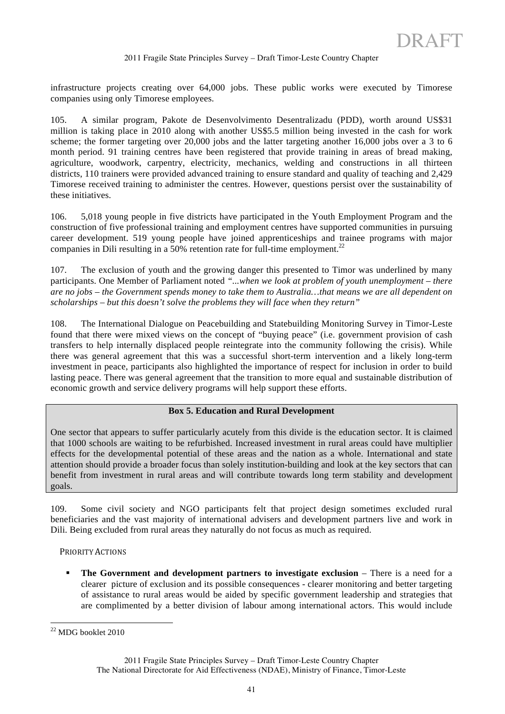infrastructure projects creating over 64,000 jobs. These public works were executed by Timorese companies using only Timorese employees.

105. A similar program, Pakote de Desenvolvimento Desentralizadu (PDD), worth around US\$31 million is taking place in 2010 along with another US\$5.5 million being invested in the cash for work scheme; the former targeting over 20,000 jobs and the latter targeting another 16,000 jobs over a 3 to 6 month period. 91 training centres have been registered that provide training in areas of bread making, agriculture, woodwork, carpentry, electricity, mechanics, welding and constructions in all thirteen districts, 110 trainers were provided advanced training to ensure standard and quality of teaching and 2,429 Timorese received training to administer the centres. However, questions persist over the sustainability of these initiatives.

106. 5,018 young people in five districts have participated in the Youth Employment Program and the construction of five professional training and employment centres have supported communities in pursuing career development. 519 young people have joined apprenticeships and trainee programs with major companies in Dili resulting in a 50% retention rate for full-time employment.<sup>22</sup>

107. The exclusion of youth and the growing danger this presented to Timor was underlined by many participants. One Member of Parliament noted *"...when we look at problem of youth unemployment – there are no jobs – the Government spends money to take them to Australia…that means we are all dependent on scholarships – but this doesn't solve the problems they will face when they return"*

108. The International Dialogue on Peacebuilding and Statebuilding Monitoring Survey in Timor-Leste found that there were mixed views on the concept of "buying peace" (i.e. government provision of cash transfers to help internally displaced people reintegrate into the community following the crisis). While there was general agreement that this was a successful short-term intervention and a likely long-term investment in peace, participants also highlighted the importance of respect for inclusion in order to build lasting peace. There was general agreement that the transition to more equal and sustainable distribution of economic growth and service delivery programs will help support these efforts.

# **Box 5. Education and Rural Development**

One sector that appears to suffer particularly acutely from this divide is the education sector. It is claimed that 1000 schools are waiting to be refurbished. Increased investment in rural areas could have multiplier effects for the developmental potential of these areas and the nation as a whole. International and state attention should provide a broader focus than solely institution-building and look at the key sectors that can benefit from investment in rural areas and will contribute towards long term stability and development goals.

109. Some civil society and NGO participants felt that project design sometimes excluded rural beneficiaries and the vast majority of international advisers and development partners live and work in Dili. Being excluded from rural areas they naturally do not focus as much as required.

PRIORITY ACTIONS

 **The Government and development partners to investigate exclusion** – There is a need for a clearer picture of exclusion and its possible consequences - clearer monitoring and better targeting of assistance to rural areas would be aided by specific government leadership and strategies that are complimented by a better division of labour among international actors. This would include

22 MDG booklet 2010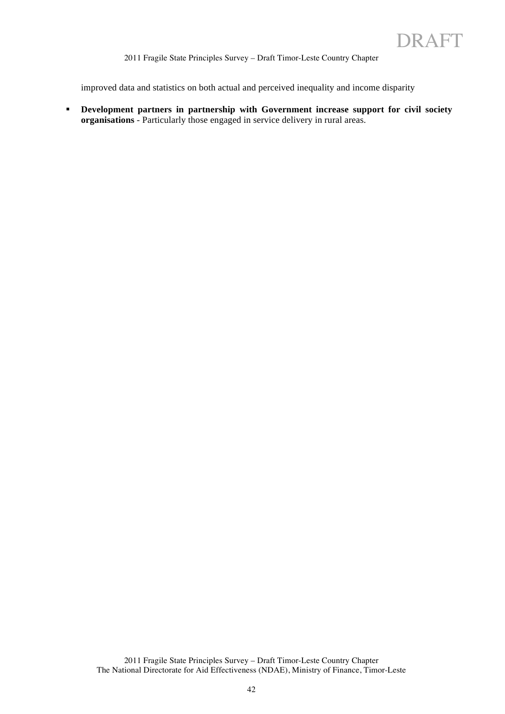improved data and statistics on both actual and perceived inequality and income disparity

 **Development partners in partnership with Government increase support for civil society organisations** - Particularly those engaged in service delivery in rural areas.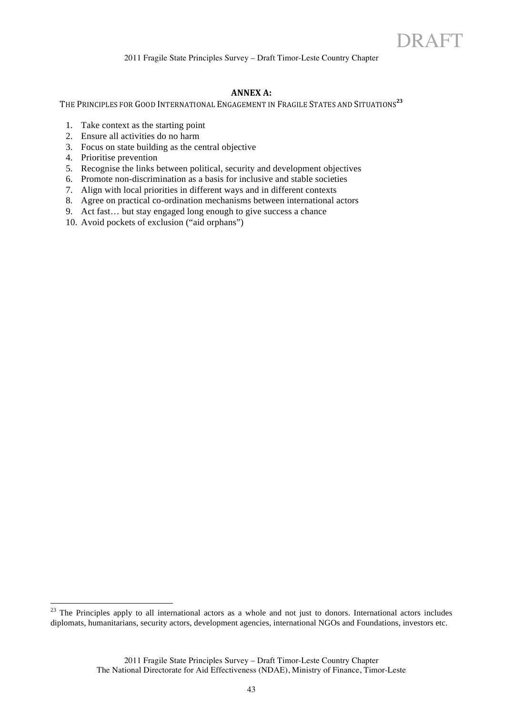#### **ANNEX A:**

THE PRINCIPLES FOR GOOD INTERNATIONAL ENGAGEMENT IN FRAGILE STATES AND SITUATIONS<sup>23</sup>

- 1. Take context as the starting point
- 2. Ensure all activities do no harm
- 3. Focus on state building as the central objective
- 4. Prioritise prevention
- 5. Recognise the links between political, security and development objectives
- 6. Promote non-discrimination as a basis for inclusive and stable societies
- 7. Align with local priorities in different ways and in different contexts
- 8. Agree on practical co-ordination mechanisms between international actors
- 9. Act fast… but stay engaged long enough to give success a chance
- 10. Avoid pockets of exclusion ("aid orphans")

 $23$  The Principles apply to all international actors as a whole and not just to donors. International actors includes diplomats, humanitarians, security actors, development agencies, international NGOs and Foundations, investors etc.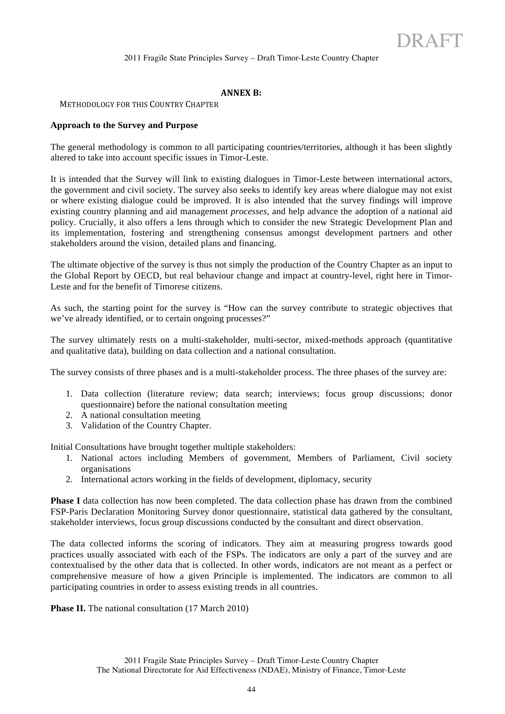#### **ANNEX B:**

#### METHODOLOGY FOR THIS COUNTRY CHAPTER

#### **Approach to the Survey and Purpose**

The general methodology is common to all participating countries/territories, although it has been slightly altered to take into account specific issues in Timor-Leste.

It is intended that the Survey will link to existing dialogues in Timor-Leste between international actors, the government and civil society. The survey also seeks to identify key areas where dialogue may not exist or where existing dialogue could be improved. It is also intended that the survey findings will improve existing country planning and aid management *processes*, and help advance the adoption of a national aid policy. Crucially, it also offers a lens through which to consider the new Strategic Development Plan and its implementation, fostering and strengthening consensus amongst development partners and other stakeholders around the vision, detailed plans and financing.

The ultimate objective of the survey is thus not simply the production of the Country Chapter as an input to the Global Report by OECD, but real behaviour change and impact at country-level, right here in Timor-Leste and for the benefit of Timorese citizens.

As such, the starting point for the survey is "How can the survey contribute to strategic objectives that we've already identified, or to certain ongoing processes?"

The survey ultimately rests on a multi-stakeholder, multi-sector, mixed-methods approach (quantitative and qualitative data), building on data collection and a national consultation.

The survey consists of three phases and is a multi-stakeholder process. The three phases of the survey are:

- 1. Data collection (literature review; data search; interviews; focus group discussions; donor questionnaire) before the national consultation meeting
- 2. A national consultation meeting
- 3. Validation of the Country Chapter.

Initial Consultations have brought together multiple stakeholders:

- 1. National actors including Members of government, Members of Parliament, Civil society organisations
- 2. International actors working in the fields of development, diplomacy, security

**Phase I** data collection has now been completed. The data collection phase has drawn from the combined FSP-Paris Declaration Monitoring Survey donor questionnaire, statistical data gathered by the consultant, stakeholder interviews, focus group discussions conducted by the consultant and direct observation.

The data collected informs the scoring of indicators. They aim at measuring progress towards good practices usually associated with each of the FSPs. The indicators are only a part of the survey and are contextualised by the other data that is collected. In other words, indicators are not meant as a perfect or comprehensive measure of how a given Principle is implemented. The indicators are common to all participating countries in order to assess existing trends in all countries.

**Phase II.** The national consultation (17 March 2010)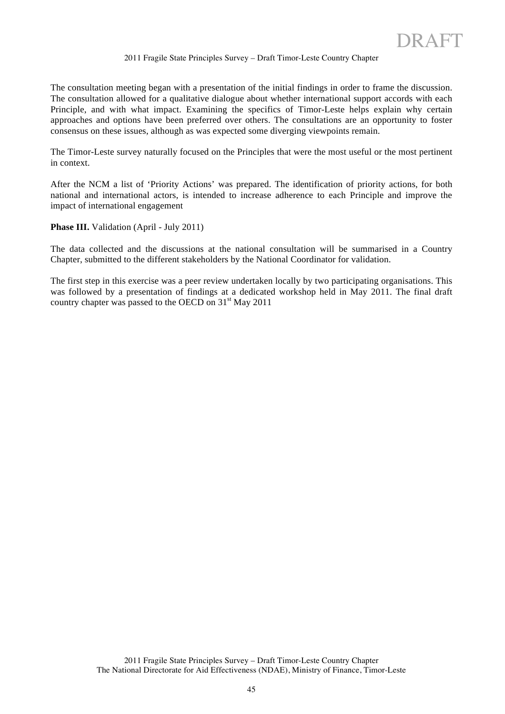The consultation meeting began with a presentation of the initial findings in order to frame the discussion. The consultation allowed for a qualitative dialogue about whether international support accords with each Principle, and with what impact. Examining the specifics of Timor-Leste helps explain why certain approaches and options have been preferred over others. The consultations are an opportunity to foster consensus on these issues, although as was expected some diverging viewpoints remain.

The Timor-Leste survey naturally focused on the Principles that were the most useful or the most pertinent in context.

After the NCM a list of 'Priority Actions' was prepared. The identification of priority actions, for both national and international actors, is intended to increase adherence to each Principle and improve the impact of international engagement

Phase III. Validation (April - July 2011)

The data collected and the discussions at the national consultation will be summarised in a Country Chapter, submitted to the different stakeholders by the National Coordinator for validation.

The first step in this exercise was a peer review undertaken locally by two participating organisations. This was followed by a presentation of findings at a dedicated workshop held in May 2011. The final draft country chapter was passed to the OECD on  $31<sup>st</sup>$  May 2011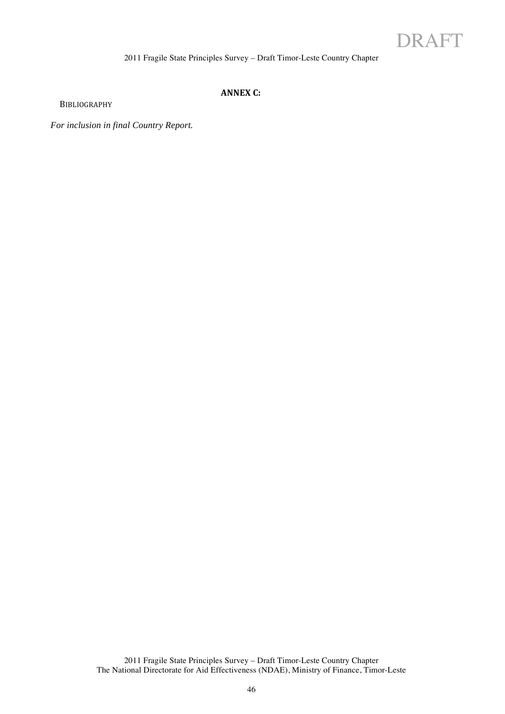

# **ANNEX C:**

BIBLIOGRAPHY

*For inclusion in final Country Report.*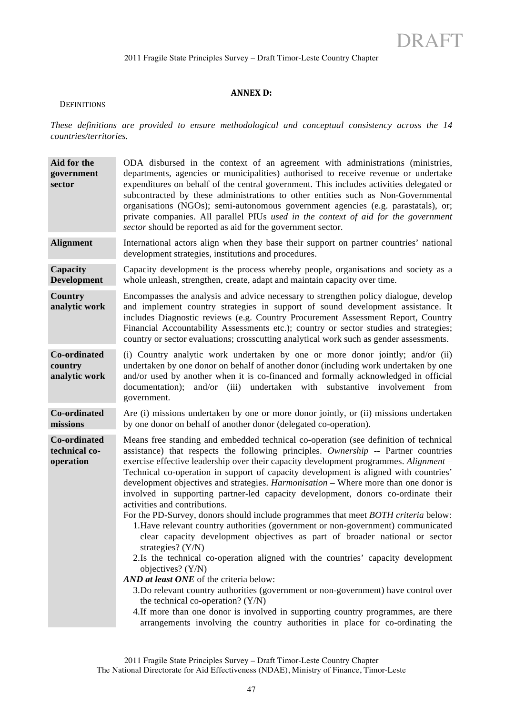#### **ANNEX D:**

#### **DEFINITIONS**

*These definitions are provided to ensure methodological and conceptual consistency across the 14 countries/territories.*

| Aid for the<br>government<br>sector        | ODA disbursed in the context of an agreement with administrations (ministries,<br>departments, agencies or municipalities) authorised to receive revenue or undertake<br>expenditures on behalf of the central government. This includes activities delegated or<br>subcontracted by these administrations to other entities such as Non-Governmental<br>organisations (NGOs); semi-autonomous government agencies (e.g. parastatals), or;<br>private companies. All parallel PIUs used in the context of aid for the government<br>sector should be reported as aid for the government sector.                                                                                                                                                                                                                                                                                                                                                                                                                                                                                                                                                                                                                                                                                                                         |
|--------------------------------------------|-------------------------------------------------------------------------------------------------------------------------------------------------------------------------------------------------------------------------------------------------------------------------------------------------------------------------------------------------------------------------------------------------------------------------------------------------------------------------------------------------------------------------------------------------------------------------------------------------------------------------------------------------------------------------------------------------------------------------------------------------------------------------------------------------------------------------------------------------------------------------------------------------------------------------------------------------------------------------------------------------------------------------------------------------------------------------------------------------------------------------------------------------------------------------------------------------------------------------------------------------------------------------------------------------------------------------|
| <b>Alignment</b>                           | International actors align when they base their support on partner countries' national<br>development strategies, institutions and procedures.                                                                                                                                                                                                                                                                                                                                                                                                                                                                                                                                                                                                                                                                                                                                                                                                                                                                                                                                                                                                                                                                                                                                                                          |
| Capacity<br><b>Development</b>             | Capacity development is the process whereby people, organisations and society as a<br>whole unleash, strengthen, create, adapt and maintain capacity over time.                                                                                                                                                                                                                                                                                                                                                                                                                                                                                                                                                                                                                                                                                                                                                                                                                                                                                                                                                                                                                                                                                                                                                         |
| Country<br>analytic work                   | Encompasses the analysis and advice necessary to strengthen policy dialogue, develop<br>and implement country strategies in support of sound development assistance. It<br>includes Diagnostic reviews (e.g. Country Procurement Assessment Report, Country<br>Financial Accountability Assessments etc.); country or sector studies and strategies;<br>country or sector evaluations; crosscutting analytical work such as gender assessments.                                                                                                                                                                                                                                                                                                                                                                                                                                                                                                                                                                                                                                                                                                                                                                                                                                                                         |
| Co-ordinated<br>country<br>analytic work   | (i) Country analytic work undertaken by one or more donor jointly; and/or (ii)<br>undertaken by one donor on behalf of another donor (including work undertaken by one<br>and/or used by another when it is co-financed and formally acknowledged in official<br>undertaken with substantive involvement from<br>documentation);<br>and/or $(iii)$<br>government.                                                                                                                                                                                                                                                                                                                                                                                                                                                                                                                                                                                                                                                                                                                                                                                                                                                                                                                                                       |
| <b>Co-ordinated</b><br>missions            | Are (i) missions undertaken by one or more donor jointly, or (ii) missions undertaken<br>by one donor on behalf of another donor (delegated co-operation).                                                                                                                                                                                                                                                                                                                                                                                                                                                                                                                                                                                                                                                                                                                                                                                                                                                                                                                                                                                                                                                                                                                                                              |
| Co-ordinated<br>technical co-<br>operation | Means free standing and embedded technical co-operation (see definition of technical<br>assistance) that respects the following principles. Ownership -- Partner countries<br>exercise effective leadership over their capacity development programmes. Alignment –<br>Technical co-operation in support of capacity development is aligned with countries'<br>development objectives and strategies. <i>Harmonisation</i> – Where more than one donor is<br>involved in supporting partner-led capacity development, donors co-ordinate their<br>activities and contributions.<br>For the PD-Survey, donors should include programmes that meet BOTH criteria below:<br>1. Have relevant country authorities (government or non-government) communicated<br>clear capacity development objectives as part of broader national or sector<br>strategies? $(Y/N)$<br>2.Is the technical co-operation aligned with the countries' capacity development<br>objectives? (Y/N)<br>AND at least ONE of the criteria below:<br>3. Do relevant country authorities (government or non-government) have control over<br>the technical co-operation? $(Y/N)$<br>4. If more than one donor is involved in supporting country programmes, are there<br>arrangements involving the country authorities in place for co-ordinating the |

The National Directorate for Aid Effectiveness (NDAE), Ministry of Finance, Timor-Leste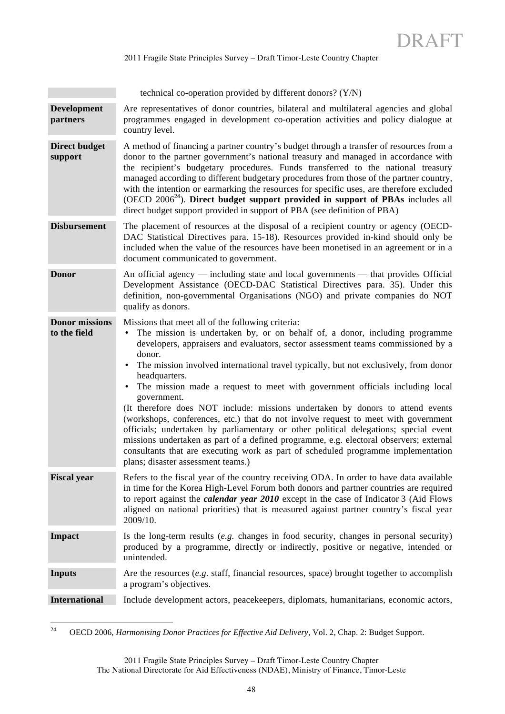technical co-operation provided by different donors? (Y/N)

- **Development partners** Are representatives of donor countries, bilateral and multilateral agencies and global programmes engaged in development co-operation activities and policy dialogue at country level.
- **Direct budget support** A method of financing a partner country's budget through a transfer of resources from a donor to the partner government's national treasury and managed in accordance with the recipient's budgetary procedures. Funds transferred to the national treasury managed according to different budgetary procedures from those of the partner country, with the intention or earmarking the resources for specific uses, are therefore excluded (OECD  $2006<sup>24</sup>$ ). **Direct budget support provided in support of PBAs** includes all direct budget support provided in support of PBA (see definition of PBA)
- **Disbursement** The placement of resources at the disposal of a recipient country or agency (OECD-DAC Statistical Directives para. 15-18). Resources provided in-kind should only be included when the value of the resources have been monetised in an agreement or in a document communicated to government.
- **Donor** An official agency including state and local governments that provides Official Development Assistance (OECD-DAC Statistical Directives para. 35). Under this definition, non-governmental Organisations (NGO) and private companies do NOT qualify as donors.

**Donor missions to the field**

Missions that meet all of the following criteria:

- The mission is undertaken by, or on behalf of, a donor, including programme developers, appraisers and evaluators, sector assessment teams commissioned by a donor.
	- The mission involved international travel typically, but not exclusively, from donor headquarters.
	- The mission made a request to meet with government officials including local government.

(It therefore does NOT include: missions undertaken by donors to attend events (workshops, conferences, etc.) that do not involve request to meet with government officials; undertaken by parliamentary or other political delegations; special event missions undertaken as part of a defined programme, e.g. electoral observers; external consultants that are executing work as part of scheduled programme implementation plans; disaster assessment teams.)

- **Fiscal year** Refers to the fiscal year of the country receiving ODA. In order to have data available in time for the Korea High-Level Forum both donors and partner countries are required to report against the *calendar year 2010* except in the case of Indicator 3 (Aid Flows aligned on national priorities) that is measured against partner country's fiscal year 2009/10.
- **Impact** Is the long-term results (*e.g.* changes in food security, changes in personal security) produced by a programme, directly or indirectly, positive or negative, intended or unintended.
- **Inputs** Are the resources (*e.g.* staff, financial resources, space) brought together to accomplish a program's objectives.
- **International** Include development actors, peacekeepers, diplomats, humanitarians, economic actors,

24. OECD 2006, *Harmonising Donor Practices for Effective Aid Delivery*, Vol. 2, Chap. 2: Budget Support.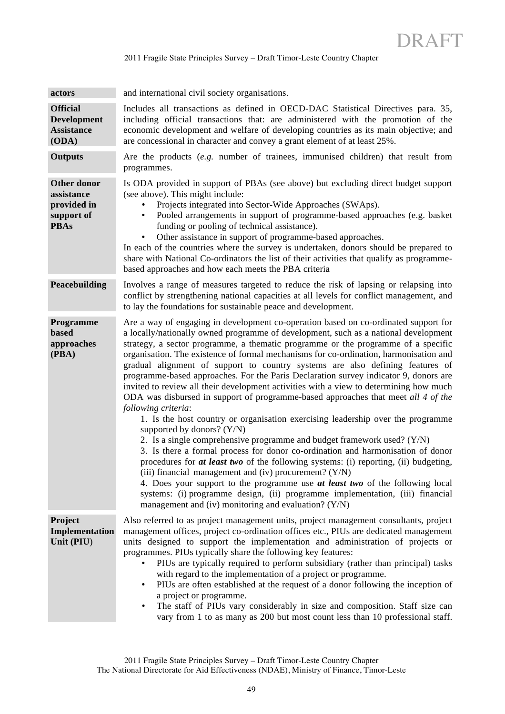| actors                                                                | and international civil society organisations.                                                                                                                                                                                                                                                                                                                                                                                                                                                                                                                                                                                                                                                                                                                                                                                                                                                                                                                                                                                                                                                                                                                                                                                                                                                                                                                                                           |
|-----------------------------------------------------------------------|----------------------------------------------------------------------------------------------------------------------------------------------------------------------------------------------------------------------------------------------------------------------------------------------------------------------------------------------------------------------------------------------------------------------------------------------------------------------------------------------------------------------------------------------------------------------------------------------------------------------------------------------------------------------------------------------------------------------------------------------------------------------------------------------------------------------------------------------------------------------------------------------------------------------------------------------------------------------------------------------------------------------------------------------------------------------------------------------------------------------------------------------------------------------------------------------------------------------------------------------------------------------------------------------------------------------------------------------------------------------------------------------------------|
| <b>Official</b><br><b>Development</b><br><b>Assistance</b><br>(ODA)   | Includes all transactions as defined in OECD-DAC Statistical Directives para. 35,<br>including official transactions that: are administered with the promotion of the<br>economic development and welfare of developing countries as its main objective; and<br>are concessional in character and convey a grant element of at least 25%.                                                                                                                                                                                                                                                                                                                                                                                                                                                                                                                                                                                                                                                                                                                                                                                                                                                                                                                                                                                                                                                                |
| <b>Outputs</b>                                                        | Are the products $(e.g.$ number of trainees, immunised children) that result from<br>programmes.                                                                                                                                                                                                                                                                                                                                                                                                                                                                                                                                                                                                                                                                                                                                                                                                                                                                                                                                                                                                                                                                                                                                                                                                                                                                                                         |
| Other donor<br>assistance<br>provided in<br>support of<br><b>PBAs</b> | Is ODA provided in support of PBAs (see above) but excluding direct budget support<br>(see above). This might include:<br>Projects integrated into Sector-Wide Approaches (SWAps).<br>Pooled arrangements in support of programme-based approaches (e.g. basket<br>funding or pooling of technical assistance).<br>Other assistance in support of programme-based approaches.<br>In each of the countries where the survey is undertaken, donors should be prepared to<br>share with National Co-ordinators the list of their activities that qualify as programme-<br>based approaches and how each meets the PBA criteria                                                                                                                                                                                                                                                                                                                                                                                                                                                                                                                                                                                                                                                                                                                                                                              |
| Peacebuilding                                                         | Involves a range of measures targeted to reduce the risk of lapsing or relapsing into<br>conflict by strengthening national capacities at all levels for conflict management, and<br>to lay the foundations for sustainable peace and development.                                                                                                                                                                                                                                                                                                                                                                                                                                                                                                                                                                                                                                                                                                                                                                                                                                                                                                                                                                                                                                                                                                                                                       |
| Programme<br>based<br>approaches<br>(PBA)                             | Are a way of engaging in development co-operation based on co-ordinated support for<br>a locally/nationally owned programme of development, such as a national development<br>strategy, a sector programme, a thematic programme or the programme of a specific<br>organisation. The existence of formal mechanisms for co-ordination, harmonisation and<br>gradual alignment of support to country systems are also defining features of<br>programme-based approaches. For the Paris Declaration survey indicator 9, donors are<br>invited to review all their development activities with a view to determining how much<br>ODA was disbursed in support of programme-based approaches that meet all 4 of the<br>following criteria:<br>1. Is the host country or organisation exercising leadership over the programme<br>supported by donors? $(Y/N)$<br>2. Is a single comprehensive programme and budget framework used? (Y/N)<br>3. Is there a formal process for donor co-ordination and harmonisation of donor<br>procedures for at least two of the following systems: (i) reporting, (ii) budgeting,<br>(iii) financial management and (iv) procurement? $(Y/N)$<br>4. Does your support to the programme use at least two of the following local<br>systems: (i) programme design, (ii) programme implementation, (iii) financial<br>management and (iv) monitoring and evaluation? $(Y/N)$ |
| Project<br>Implementation<br>Unit (PIU)                               | Also referred to as project management units, project management consultants, project<br>management offices, project co-ordination offices etc., PIUs are dedicated management<br>units designed to support the implementation and administration of projects or<br>programmes. PIUs typically share the following key features:<br>PIUs are typically required to perform subsidiary (rather than principal) tasks<br>with regard to the implementation of a project or programme.<br>PIUs are often established at the request of a donor following the inception of<br>$\bullet$<br>a project or programme.<br>The staff of PIUs vary considerably in size and composition. Staff size can<br>$\bullet$<br>vary from 1 to as many as 200 but most count less than 10 professional staff.                                                                                                                                                                                                                                                                                                                                                                                                                                                                                                                                                                                                              |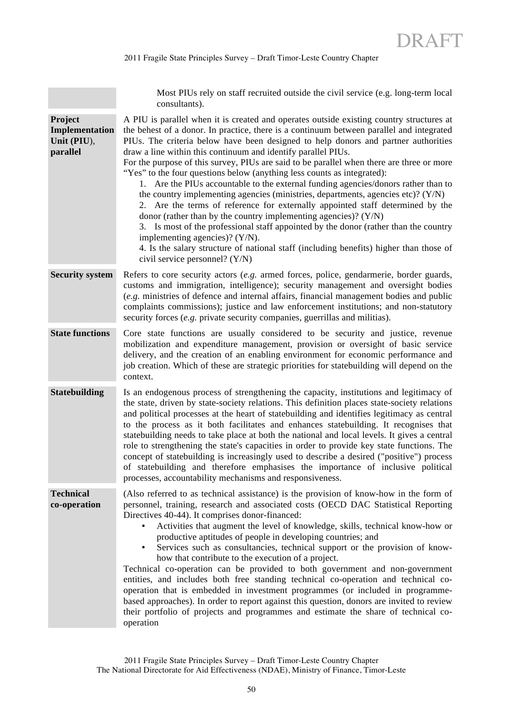Most PIUs rely on staff recruited outside the civil service (e.g. long-term local consultants).

**Project Implementation Unit (PIU**), **parallel** A PIU is parallel when it is created and operates outside existing country structures at the behest of a donor. In practice, there is a continuum between parallel and integrated PIUs. The criteria below have been designed to help donors and partner authorities draw a line within this continuum and identify parallel PIUs. For the purpose of this survey, PIUs are said to be parallel when there are three or more "Yes" to the four questions below (anything less counts as integrated): 1. Are the PIUs accountable to the external funding agencies/donors rather than to the country implementing agencies (ministries, departments, agencies etc)? (Y/N) 2. Are the terms of reference for externally appointed staff determined by the donor (rather than by the country implementing agencies)? (Y/N) 3. Is most of the professional staff appointed by the donor (rather than the country implementing agencies)? (Y/N). 4. Is the salary structure of national staff (including benefits) higher than those of civil service personnel? (Y/N) **Security system** Refers to core security actors (*e.g.* armed forces, police, gendarmerie, border guards, customs and immigration, intelligence); security management and oversight bodies (*e.g.* ministries of defence and internal affairs, financial management bodies and public complaints commissions); justice and law enforcement institutions; and non-statutory security forces (*e.g.* private security companies, guerrillas and militias). **State functions** Core state functions are usually considered to be security and justice, revenue mobilization and expenditure management, provision or oversight of basic service delivery, and the creation of an enabling environment for economic performance and job creation. Which of these are strategic priorities for statebuilding will depend on the context. **Statebuilding** Is an endogenous process of strengthening the capacity, institutions and legitimacy of the state, driven by state-society relations. This definition places state-society relations and political processes at the heart of statebuilding and identifies legitimacy as central to the process as it both facilitates and enhances statebuilding. It recognises that statebuilding needs to take place at both the national and local levels. It gives a central role to strengthening the state's capacities in order to provide key state functions. The concept of statebuilding is increasingly used to describe a desired ("positive") process of statebuilding and therefore emphasises the importance of inclusive political processes, accountability mechanisms and responsiveness. **Technical co-operation** (Also referred to as technical assistance) is the provision of know-how in the form of personnel, training, research and associated costs (OECD DAC Statistical Reporting Directives 40-44). It comprises donor-financed: • Activities that augment the level of knowledge, skills, technical know-how or productive aptitudes of people in developing countries; and • Services such as consultancies, technical support or the provision of knowhow that contribute to the execution of a project. Technical co-operation can be provided to both government and non-government entities, and includes both free standing technical co-operation and technical cooperation that is embedded in investment programmes (or included in programmebased approaches). In order to report against this question, donors are invited to review their portfolio of projects and programmes and estimate the share of technical cooperation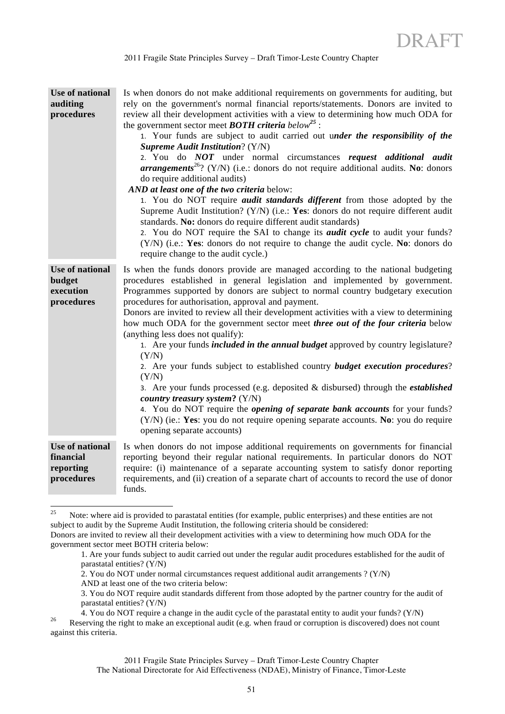| Use of national<br>auditing<br>procedures                   | Is when donors do not make additional requirements on governments for auditing, but<br>rely on the government's normal financial reports/statements. Donors are invited to<br>review all their development activities with a view to determining how much ODA for<br>the government sector meet <b>BOTH</b> criteria below <sup>25</sup> :<br>1. Your funds are subject to audit carried out under the responsibility of the<br><b>Supreme Audit Institution?</b> (Y/N)<br>2. You do NOT under normal circumstances request additional audit<br><b>arrangements</b> <sup>26</sup> ? (Y/N) (i.e.: donors do not require additional audits. No: donors<br>do require additional audits)<br>AND at least one of the two criteria below:<br>1. You do NOT require <i>audit standards different</i> from those adopted by the<br>Supreme Audit Institution? (Y/N) (i.e.: Yes: donors do not require different audit<br>standards. No: donors do require different audit standards)<br>2. You do NOT require the SAI to change its <i>audit cycle</i> to audit your funds?<br>(Y/N) (i.e.: Yes: donors do not require to change the audit cycle. No: donors do<br>require change to the audit cycle.) |
|-------------------------------------------------------------|-------------------------------------------------------------------------------------------------------------------------------------------------------------------------------------------------------------------------------------------------------------------------------------------------------------------------------------------------------------------------------------------------------------------------------------------------------------------------------------------------------------------------------------------------------------------------------------------------------------------------------------------------------------------------------------------------------------------------------------------------------------------------------------------------------------------------------------------------------------------------------------------------------------------------------------------------------------------------------------------------------------------------------------------------------------------------------------------------------------------------------------------------------------------------------------------------|
| <b>Use of national</b><br>budget<br>execution<br>procedures | Is when the funds donors provide are managed according to the national budgeting<br>procedures established in general legislation and implemented by government.<br>Programmes supported by donors are subject to normal country budgetary execution<br>procedures for authorisation, approval and payment.<br>Donors are invited to review all their development activities with a view to determining<br>how much ODA for the government sector meet three out of the four criteria below<br>(anything less does not qualify):<br>1. Are your funds <i>included in the annual budget</i> approved by country legislature?<br>(Y/N)<br>2. Are your funds subject to established country <b>budget execution procedures</b> ?<br>(Y/N)<br>3. Are your funds processed (e.g. deposited $\&$ disbursed) through the <i>established</i><br>country treasury system? (Y/N)<br>4. You do NOT require the <i>opening of separate bank accounts</i> for your funds?<br>(Y/N) (ie.: Yes: you do not require opening separate accounts. No: you do require<br>opening separate accounts)                                                                                                                 |
| Use of national<br>financial<br>reporting<br>procedures     | Is when donors do not impose additional requirements on governments for financial<br>reporting beyond their regular national requirements. In particular donors do NOT<br>require: (i) maintenance of a separate accounting system to satisfy donor reporting<br>requirements, and (ii) creation of a separate chart of accounts to record the use of donor<br>funds.                                                                                                                                                                                                                                                                                                                                                                                                                                                                                                                                                                                                                                                                                                                                                                                                                           |

<sup>&</sup>lt;sup>25</sup> Note: where aid is provided to parastatal entities (for example, public enterprises) and these entities are not subject to audit by the Supreme Audit Institution, the following criteria should be considered:

AND at least one of the two criteria below:

against this criteria.

Donors are invited to review all their development activities with a view to determining how much ODA for the government sector meet BOTH criteria below:

<sup>1.</sup> Are your funds subject to audit carried out under the regular audit procedures established for the audit of parastatal entities? (Y/N)

<sup>2.</sup> You do NOT under normal circumstances request additional audit arrangements ? (Y/N)

<sup>3.</sup> You do NOT require audit standards different from those adopted by the partner country for the audit of parastatal entities? (Y/N)

<sup>4.</sup> You do NOT require a change in the audit cycle of the parastatal entity to audit your funds? (Y/N) Reserving the right to make an exceptional audit (e.g. when fraud or corruption is discovered) does not count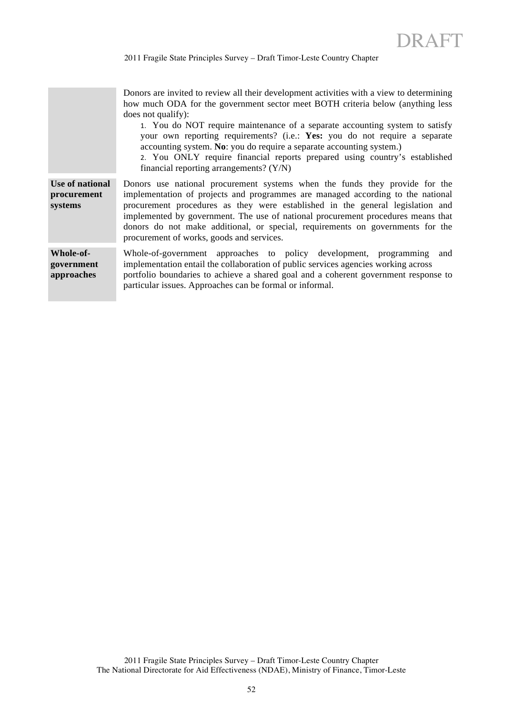Donors are invited to review all their development activities with a view to determining how much ODA for the government sector meet BOTH criteria below (anything less does not qualify):

1. You do NOT require maintenance of a separate accounting system to satisfy your own reporting requirements? (i.e.: **Yes:** you do not require a separate accounting system. **No**: you do require a separate accounting system.)

2. You ONLY require financial reports prepared using country's established financial reporting arrangements? (Y/N)

**Use of national procurement systems** Donors use national procurement systems when the funds they provide for the implementation of projects and programmes are managed according to the national procurement procedures as they were established in the general legislation and implemented by government. The use of national procurement procedures means that donors do not make additional, or special, requirements on governments for the procurement of works, goods and services.

**Whole-ofgovernment approaches**  Whole-of-government approaches to policy development, programming and implementation entail the collaboration of public services agencies working across portfolio boundaries to achieve a shared goal and a coherent government response to particular issues. Approaches can be formal or informal.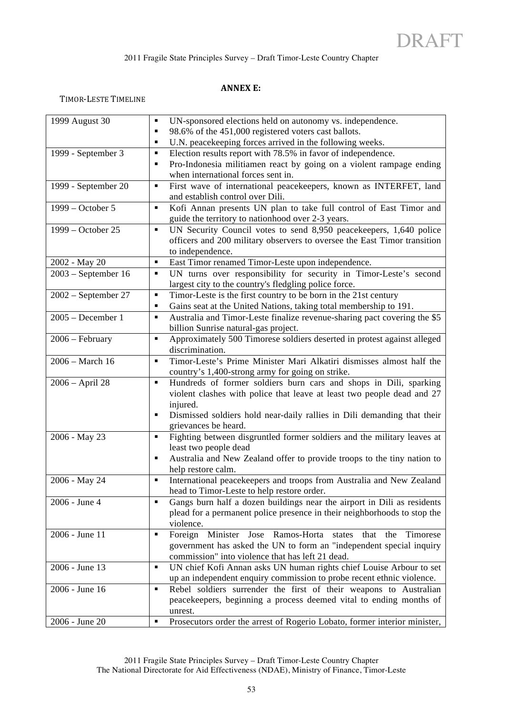# **ANNEX E:**

TIMOR-LESTE TIMELINE

| 1999 August 30        | UN-sponsored elections held on autonomy vs. independence.<br>٠                                                          |
|-----------------------|-------------------------------------------------------------------------------------------------------------------------|
|                       | 98.6% of the 451,000 registered voters cast ballots.<br>٠                                                               |
|                       | U.N. peacekeeping forces arrived in the following weeks.<br>٠                                                           |
| 1999 - September 3    | Election results report with 78.5% in favor of independence.<br>٠                                                       |
|                       | Pro-Indonesia militiamen react by going on a violent rampage ending<br>٠                                                |
|                       | when international forces sent in.                                                                                      |
| 1999 - September 20   | First wave of international peacekeepers, known as INTERFET, land<br>٠<br>and establish control over Dili.              |
| 1999 - October 5      | Kofi Annan presents UN plan to take full control of East Timor and<br>٠                                                 |
|                       | guide the territory to nation hood over 2-3 years.                                                                      |
| 1999 - October 25     | UN Security Council votes to send 8,950 peacekeepers, 1,640 police<br>٠                                                 |
|                       | officers and 200 military observers to oversee the East Timor transition                                                |
|                       | to independence.                                                                                                        |
| 2002 - May 20         | East Timor renamed Timor-Leste upon independence.<br>٠                                                                  |
| $2003$ – September 16 | UN turns over responsibility for security in Timor-Leste's second<br>٠                                                  |
|                       | largest city to the country's fledgling police force.                                                                   |
| $2002$ – September 27 | Timor-Leste is the first country to be born in the 21st century<br>٠                                                    |
|                       | Gains seat at the United Nations, taking total membership to 191.<br>٠                                                  |
| $2005 - December 1$   | Australia and Timor-Leste finalize revenue-sharing pact covering the \$5<br>٠<br>billion Sunrise natural-gas project.   |
| 2006 - February       | Approximately 500 Timorese soldiers deserted in protest against alleged<br>٠                                            |
|                       | discrimination.                                                                                                         |
| 2006 - March 16       | Timor-Leste's Prime Minister Mari Alkatiri dismisses almost half the<br>$\blacksquare$                                  |
|                       | country's 1,400-strong army for going on strike.                                                                        |
| 2006 - April 28       | Hundreds of former soldiers burn cars and shops in Dili, sparking<br>٠                                                  |
|                       | violent clashes with police that leave at least two people dead and 27                                                  |
|                       | injured.                                                                                                                |
|                       | Dismissed soldiers hold near-daily rallies in Dili demanding that their<br>٠                                            |
|                       | grievances be heard.                                                                                                    |
| 2006 - May 23         | Fighting between disgruntled former soldiers and the military leaves at<br>٠                                            |
|                       | least two people dead                                                                                                   |
|                       | Australia and New Zealand offer to provide troops to the tiny nation to<br>٠                                            |
|                       | help restore calm.                                                                                                      |
| 2006 - May 24         | International peacekeepers and troops from Australia and New Zealand<br>٠<br>head to Timor-Leste to help restore order. |
| 2006 - June 4         | Gangs burn half a dozen buildings near the airport in Dili as residents<br>٠                                            |
|                       | plead for a permanent police presence in their neighborhoods to stop the                                                |
|                       | violence.                                                                                                               |
| 2006 - June 11        | Foreign Minister Jose Ramos-Horta states<br>that the<br>Timorese<br>٠                                                   |
|                       | government has asked the UN to form an "independent special inquiry                                                     |
|                       | commission" into violence that has left 21 dead.                                                                        |
| 2006 - June 13        | UN chief Kofi Annan asks UN human rights chief Louise Arbour to set<br>٠                                                |
|                       | up an independent enquiry commission to probe recent ethnic violence.                                                   |
| 2006 - June 16        | Rebel soldiers surrender the first of their weapons to Australian<br>٠                                                  |
|                       | peacekeepers, beginning a process deemed vital to ending months of                                                      |
|                       | unrest.                                                                                                                 |
| 2006 - June 20        | Prosecutors order the arrest of Rogerio Lobato, former interior minister,<br>٠                                          |